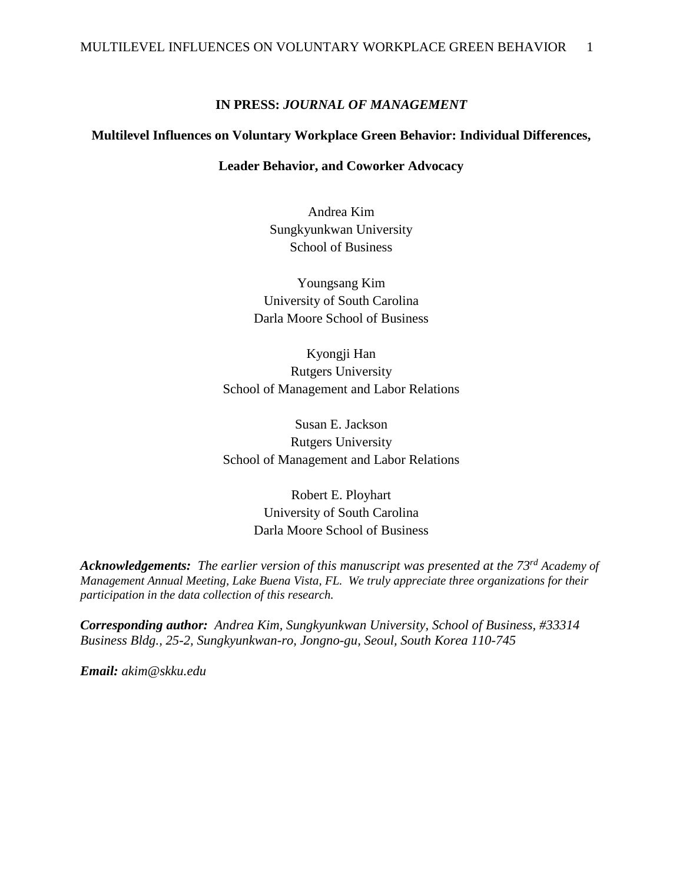### **IN PRESS:** *JOURNAL OF MANAGEMENT*

### **Multilevel Influences on Voluntary Workplace Green Behavior: Individual Differences,**

### **Leader Behavior, and Coworker Advocacy**

Andrea Kim Sungkyunkwan University School of Business

Youngsang Kim University of South Carolina Darla Moore School of Business

Kyongji Han Rutgers University School of Management and Labor Relations

Susan E. Jackson Rutgers University School of Management and Labor Relations

> Robert E. Ployhart University of South Carolina Darla Moore School of Business

*Acknowledgements: The earlier version of this manuscript was presented at the 73rd Academy of Management Annual Meeting, Lake Buena Vista, FL. We truly appreciate three organizations for their participation in the data collection of this research.*

*Corresponding author: Andrea Kim, Sungkyunkwan University, School of Business, #33314 Business Bldg., 25-2, Sungkyunkwan-ro, Jongno-gu, Seoul, South Korea 110-745*

*Email: akim@skku.edu*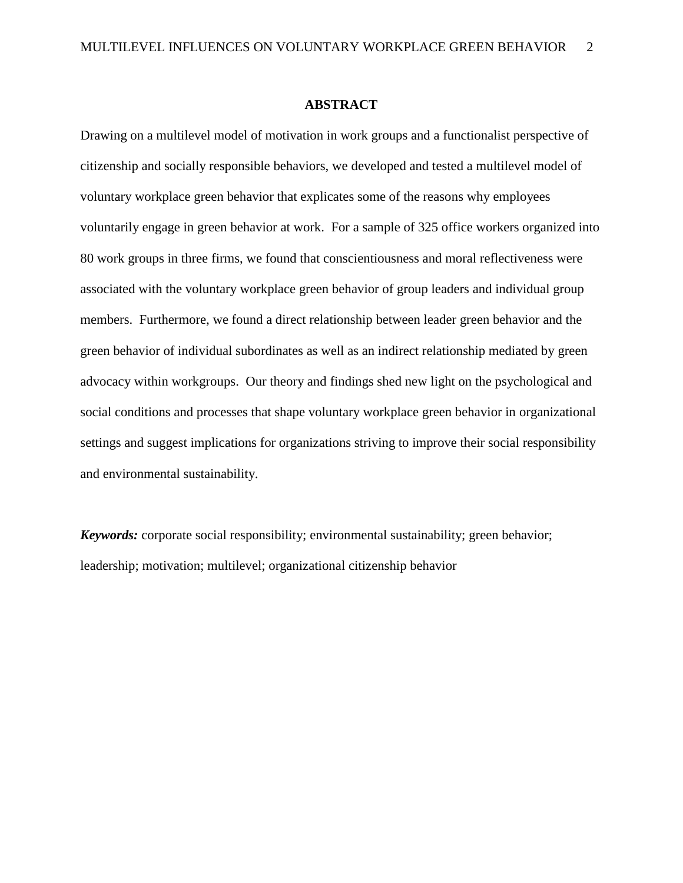#### **ABSTRACT**

Drawing on a multilevel model of motivation in work groups and a functionalist perspective of citizenship and socially responsible behaviors, we developed and tested a multilevel model of voluntary workplace green behavior that explicates some of the reasons why employees voluntarily engage in green behavior at work. For a sample of 325 office workers organized into 80 work groups in three firms, we found that conscientiousness and moral reflectiveness were associated with the voluntary workplace green behavior of group leaders and individual group members. Furthermore, we found a direct relationship between leader green behavior and the green behavior of individual subordinates as well as an indirect relationship mediated by green advocacy within workgroups. Our theory and findings shed new light on the psychological and social conditions and processes that shape voluntary workplace green behavior in organizational settings and suggest implications for organizations striving to improve their social responsibility and environmental sustainability.

*Keywords:* corporate social responsibility; environmental sustainability; green behavior; leadership; motivation; multilevel; organizational citizenship behavior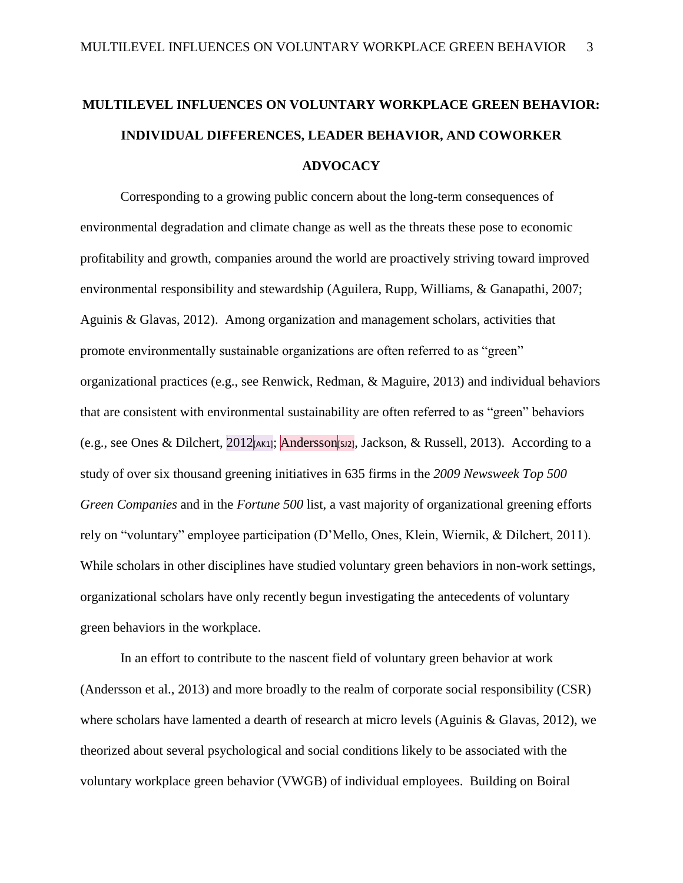# **MULTILEVEL INFLUENCES ON VOLUNTARY WORKPLACE GREEN BEHAVIOR: INDIVIDUAL DIFFERENCES, LEADER BEHAVIOR, AND COWORKER ADVOCACY**

Corresponding to a growing public concern about the long-term consequences of environmental degradation and climate change as well as the threats these pose to economic profitability and growth, companies around the world are proactively striving toward improved environmental responsibility and stewardship (Aguilera, Rupp, Williams, & Ganapathi, 2007; Aguinis & Glavas, 2012). Among organization and management scholars, activities that promote environmentally sustainable organizations are often referred to as "green" organizational practices (e.g., see Renwick, Redman, & Maguire, 2013) and individual behaviors that are consistent with environmental sustainability are often referred to as "green" behaviors (e.g., see Ones & Dilchert,  $2012$ [AK1]; Andersson[sJ2], Jackson, & Russell, 2013). According to a study of over six thousand greening initiatives in 635 firms in the *2009 Newsweek Top 500 Green Companies* and in the *Fortune 500* list, a vast majority of organizational greening efforts rely on "voluntary" employee participation (D'Mello, Ones, Klein, Wiernik, & Dilchert, 2011). While scholars in other disciplines have studied voluntary green behaviors in non-work settings, organizational scholars have only recently begun investigating the antecedents of voluntary green behaviors in the workplace.

In an effort to contribute to the nascent field of voluntary green behavior at work (Andersson et al., 2013) and more broadly to the realm of corporate social responsibility (CSR) where scholars have lamented a dearth of research at micro levels (Aguinis & Glavas, 2012), we theorized about several psychological and social conditions likely to be associated with the voluntary workplace green behavior (VWGB) of individual employees. Building on Boiral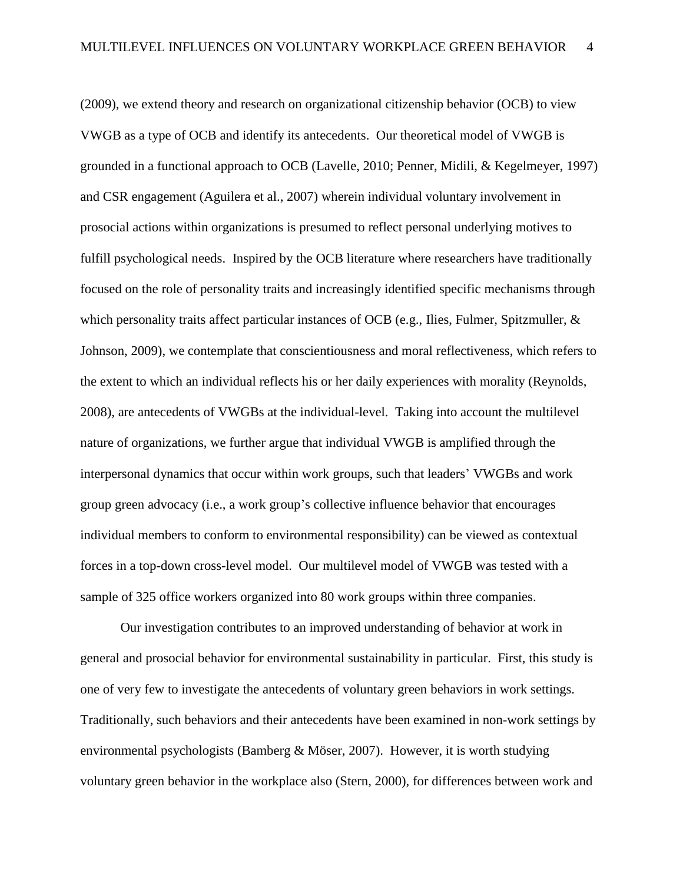(2009), we extend theory and research on organizational citizenship behavior (OCB) to view VWGB as a type of OCB and identify its antecedents. Our theoretical model of VWGB is grounded in a functional approach to OCB (Lavelle, 2010; Penner, Midili, & Kegelmeyer, 1997) and CSR engagement (Aguilera et al., 2007) wherein individual voluntary involvement in prosocial actions within organizations is presumed to reflect personal underlying motives to fulfill psychological needs. Inspired by the OCB literature where researchers have traditionally focused on the role of personality traits and increasingly identified specific mechanisms through which personality traits affect particular instances of OCB (e.g., Ilies, Fulmer, Spitzmuller, & Johnson, 2009), we contemplate that conscientiousness and moral reflectiveness, which refers to the extent to which an individual reflects his or her daily experiences with morality (Reynolds, 2008), are antecedents of VWGBs at the individual-level. Taking into account the multilevel nature of organizations, we further argue that individual VWGB is amplified through the interpersonal dynamics that occur within work groups, such that leaders' VWGBs and work group green advocacy (i.e., a work group's collective influence behavior that encourages individual members to conform to environmental responsibility) can be viewed as contextual forces in a top-down cross-level model. Our multilevel model of VWGB was tested with a sample of 325 office workers organized into 80 work groups within three companies.

Our investigation contributes to an improved understanding of behavior at work in general and prosocial behavior for environmental sustainability in particular. First, this study is one of very few to investigate the antecedents of voluntary green behaviors in work settings. Traditionally, such behaviors and their antecedents have been examined in non-work settings by environmental psychologists (Bamberg & [Möser,](http://scholar.google.com/citations?user=Kt6tCygAAAAJ&hl=en&oi=sra) 2007). However, it is worth studying voluntary green behavior in the workplace also (Stern, 2000), for differences between work and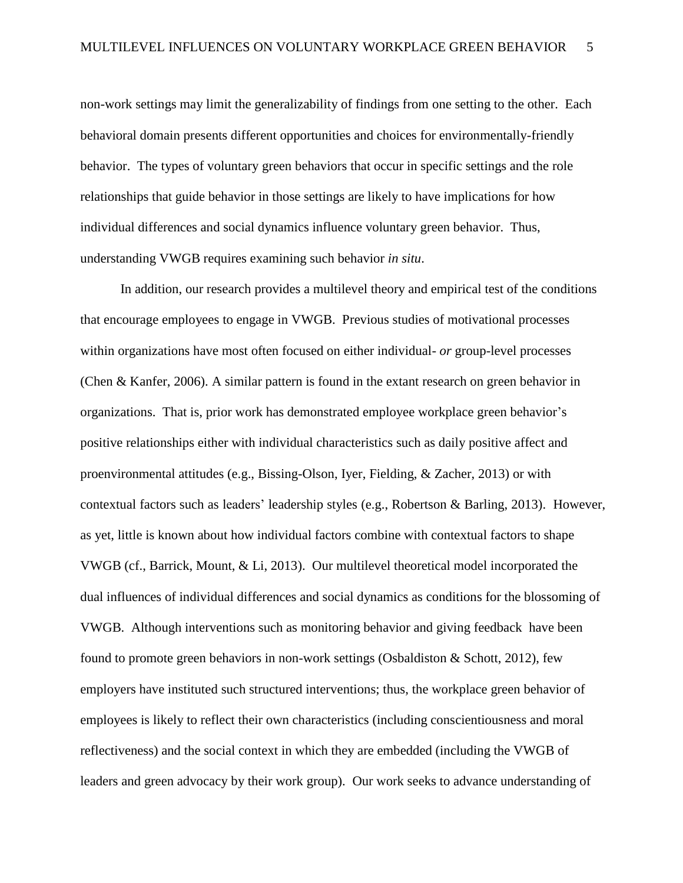non-work settings may limit the generalizability of findings from one setting to the other. Each behavioral domain presents different opportunities and choices for environmentally-friendly behavior. The types of voluntary green behaviors that occur in specific settings and the role relationships that guide behavior in those settings are likely to have implications for how individual differences and social dynamics influence voluntary green behavior. Thus, understanding VWGB requires examining such behavior *in situ*.

In addition, our research provides a multilevel theory and empirical test of the conditions that encourage employees to engage in VWGB. Previous studies of motivational processes within organizations have most often focused on either individual- *or* group-level processes (Chen & Kanfer, 2006). A similar pattern is found in the extant research on green behavior in organizations. That is, prior work has demonstrated employee workplace green behavior's positive relationships either with individual characteristics such as daily positive affect and proenvironmental attitudes (e.g., Bissing-Olson, Iyer, Fielding, & Zacher, 2013) or with contextual factors such as leaders' leadership styles (e.g., Robertson & Barling, 2013). However, as yet, little is known about how individual factors combine with contextual factors to shape VWGB (cf., Barrick, Mount, & Li, 2013). Our multilevel theoretical model incorporated the dual influences of individual differences and social dynamics as conditions for the blossoming of VWGB. Although interventions such as monitoring behavior and giving feedback have been found to promote green behaviors in non-work settings (Osbaldiston & Schott, 2012), few employers have instituted such structured interventions; thus, the workplace green behavior of employees is likely to reflect their own characteristics (including conscientiousness and moral reflectiveness) and the social context in which they are embedded (including the VWGB of leaders and green advocacy by their work group). Our work seeks to advance understanding of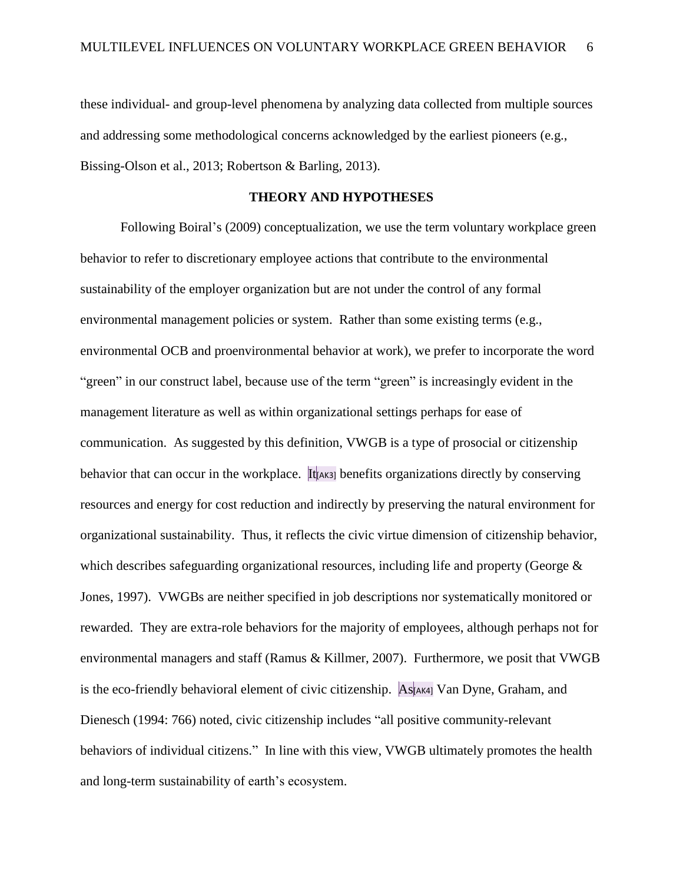these individual- and group-level phenomena by analyzing data collected from multiple sources and addressing some methodological concerns acknowledged by the earliest pioneers (e.g., Bissing-Olson et al., 2013; Robertson & Barling, 2013).

#### **THEORY AND HYPOTHESES**

Following Boiral's (2009) conceptualization, we use the term voluntary workplace green behavior to refer to discretionary employee actions that contribute to the environmental sustainability of the employer organization but are not under the control of any formal environmental management policies or system. Rather than some existing terms (e.g., environmental OCB and proenvironmental behavior at work), we prefer to incorporate the word "green" in our construct label, because use of the term "green" is increasingly evident in the management literature as well as within organizational settings perhaps for ease of communication. As suggested by this definition, VWGB is a type of prosocial or citizenship behavior that can occur in the workplace. It has benefits organizations directly by conserving resources and energy for cost reduction and indirectly by preserving the natural environment for organizational sustainability. Thus, it reflects the civic virtue dimension of citizenship behavior, which describes safeguarding organizational resources, including life and property (George & Jones, 1997). VWGBs are neither specified in job descriptions nor systematically monitored or rewarded. They are extra-role behaviors for the majority of employees, although perhaps not for environmental managers and staff (Ramus & Killmer, 2007). Furthermore, we posit that VWGB is the eco-friendly behavioral element of civic citizenship. As[AK4] Van Dyne, Graham, and Dienesch (1994: 766) noted, civic citizenship includes "all positive community-relevant behaviors of individual citizens." In line with this view, VWGB ultimately promotes the health and long-term sustainability of earth's ecosystem.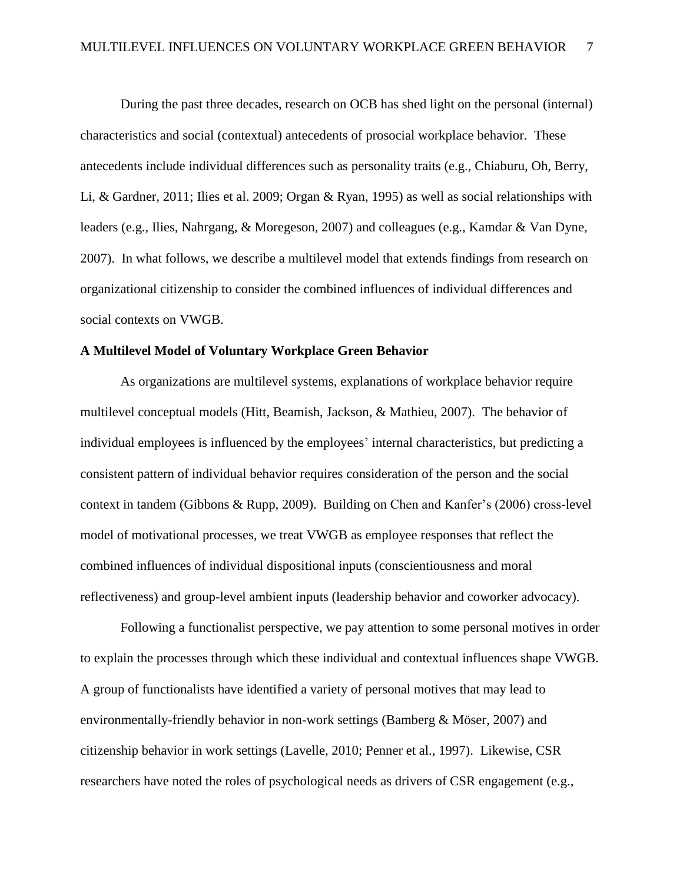During the past three decades, research on OCB has shed light on the personal (internal) characteristics and social (contextual) antecedents of prosocial workplace behavior. These antecedents include individual differences such as personality traits (e.g., Chiaburu, Oh, Berry, Li, & Gardner, 2011; Ilies et al. 2009; Organ & Ryan, 1995) as well as social relationships with leaders (e.g., Ilies, Nahrgang, & Moregeson, 2007) and colleagues (e.g., Kamdar & Van Dyne, 2007). In what follows, we describe a multilevel model that extends findings from research on organizational citizenship to consider the combined influences of individual differences and social contexts on VWGB.

### **A Multilevel Model of Voluntary Workplace Green Behavior**

As organizations are multilevel systems, explanations of workplace behavior require multilevel conceptual models (Hitt, Beamish, Jackson, & Mathieu, 2007). The behavior of individual employees is influenced by the employees' internal characteristics, but predicting a consistent pattern of individual behavior requires consideration of the person and the social context in tandem (Gibbons & Rupp, 2009). Building on Chen and Kanfer's (2006) cross-level model of motivational processes, we treat VWGB as employee responses that reflect the combined influences of individual dispositional inputs (conscientiousness and moral reflectiveness) and group-level ambient inputs (leadership behavior and coworker advocacy).

Following a functionalist perspective, we pay attention to some personal motives in order to explain the processes through which these individual and contextual influences shape VWGB. A group of functionalists have identified a variety of personal motives that may lead to environmentally-friendly behavior in non-work settings (Bamberg & [Möser,](http://scholar.google.com/citations?user=Kt6tCygAAAAJ&hl=en&oi=sra) 2007) and citizenship behavior in work settings (Lavelle, 2010; Penner et al., 1997). Likewise, CSR researchers have noted the roles of psychological needs as drivers of CSR engagement (e.g.,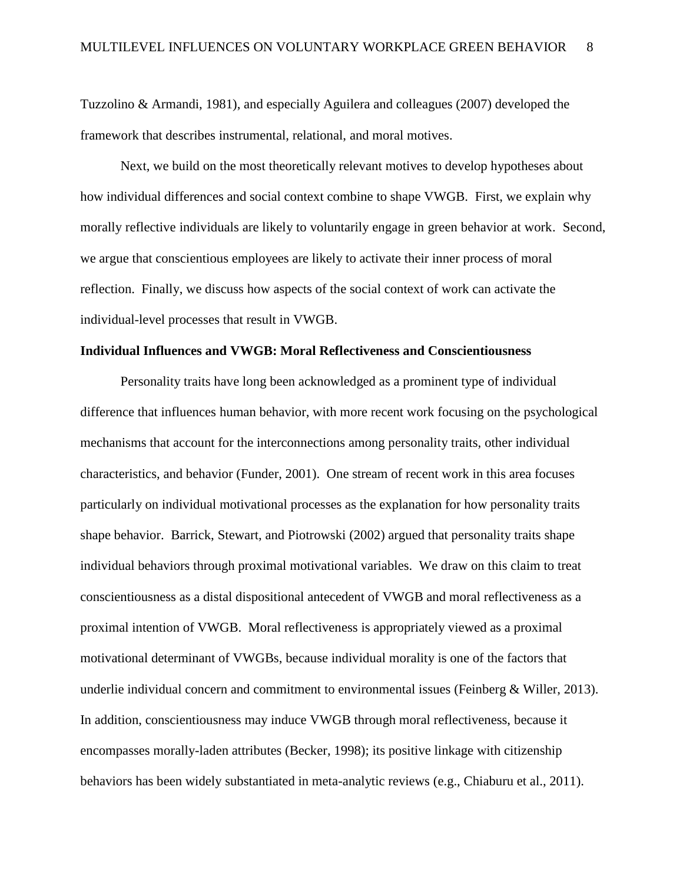Tuzzolino & Armandi, 1981), and especially Aguilera and colleagues (2007) developed the framework that describes instrumental, relational, and moral motives.

Next, we build on the most theoretically relevant motives to develop hypotheses about how individual differences and social context combine to shape VWGB. First, we explain why morally reflective individuals are likely to voluntarily engage in green behavior at work. Second, we argue that conscientious employees are likely to activate their inner process of moral reflection. Finally, we discuss how aspects of the social context of work can activate the individual-level processes that result in VWGB.

#### **Individual Influences and VWGB: Moral Reflectiveness and Conscientiousness**

Personality traits have long been acknowledged as a prominent type of individual difference that influences human behavior, with more recent work focusing on the psychological mechanisms that account for the interconnections among personality traits, other individual characteristics, and behavior (Funder, 2001). One stream of recent work in this area focuses particularly on individual motivational processes as the explanation for how personality traits shape behavior. Barrick, Stewart, and Piotrowski (2002) argued that personality traits shape individual behaviors through proximal motivational variables. We draw on this claim to treat conscientiousness as a distal dispositional antecedent of VWGB and moral reflectiveness as a proximal intention of VWGB. Moral reflectiveness is appropriately viewed as a proximal motivational determinant of VWGBs, because individual morality is one of the factors that underlie individual concern and commitment to environmental issues (Feinberg & Willer, 2013). In addition, conscientiousness may induce VWGB through moral reflectiveness, because it encompasses morally-laden attributes (Becker, 1998); its positive linkage with citizenship behaviors has been widely substantiated in meta-analytic reviews (e.g., Chiaburu et al., 2011).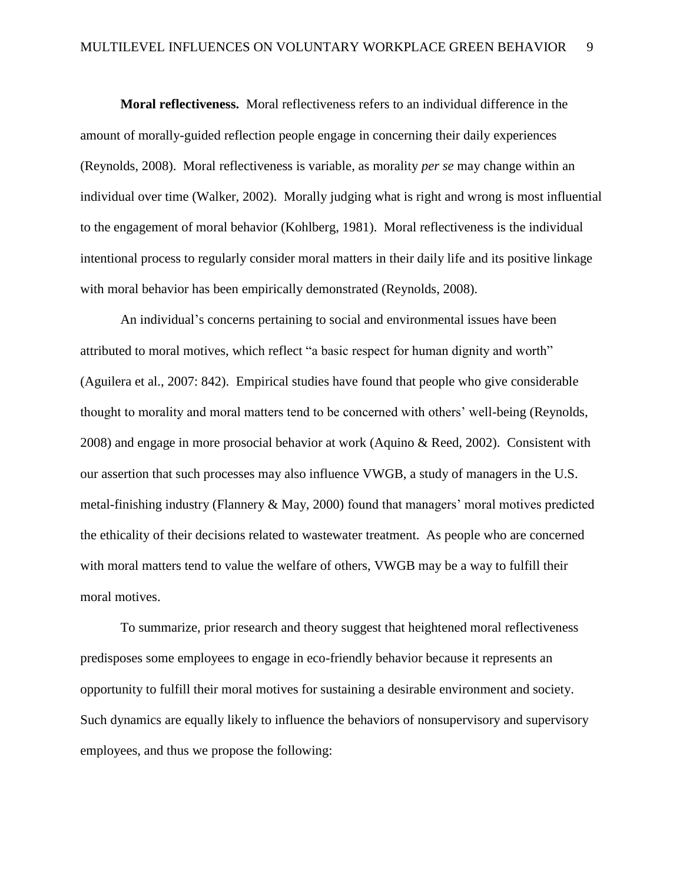**Moral reflectiveness.** Moral reflectiveness refers to an individual difference in the amount of morally-guided reflection people engage in concerning their daily experiences (Reynolds, 2008). Moral reflectiveness is variable, as morality *per se* may change within an individual over time (Walker, 2002). Morally judging what is right and wrong is most influential to the engagement of moral behavior (Kohlberg, 1981). Moral reflectiveness is the individual intentional process to regularly consider moral matters in their daily life and its positive linkage with moral behavior has been empirically demonstrated (Reynolds, 2008).

An individual's concerns pertaining to social and environmental issues have been attributed to moral motives, which reflect "a basic respect for human dignity and worth" (Aguilera et al., 2007: 842). Empirical studies have found that people who give considerable thought to morality and moral matters tend to be concerned with others' well-being (Reynolds, 2008) and engage in more prosocial behavior at work (Aquino & Reed, 2002). Consistent with our assertion that such processes may also influence VWGB, a study of managers in the U.S. metal-finishing industry (Flannery & May, 2000) found that managers' moral motives predicted the ethicality of their decisions related to wastewater treatment. As people who are concerned with moral matters tend to value the welfare of others, VWGB may be a way to fulfill their moral motives.

To summarize, prior research and theory suggest that heightened moral reflectiveness predisposes some employees to engage in eco-friendly behavior because it represents an opportunity to fulfill their moral motives for sustaining a desirable environment and society. Such dynamics are equally likely to influence the behaviors of nonsupervisory and supervisory employees, and thus we propose the following: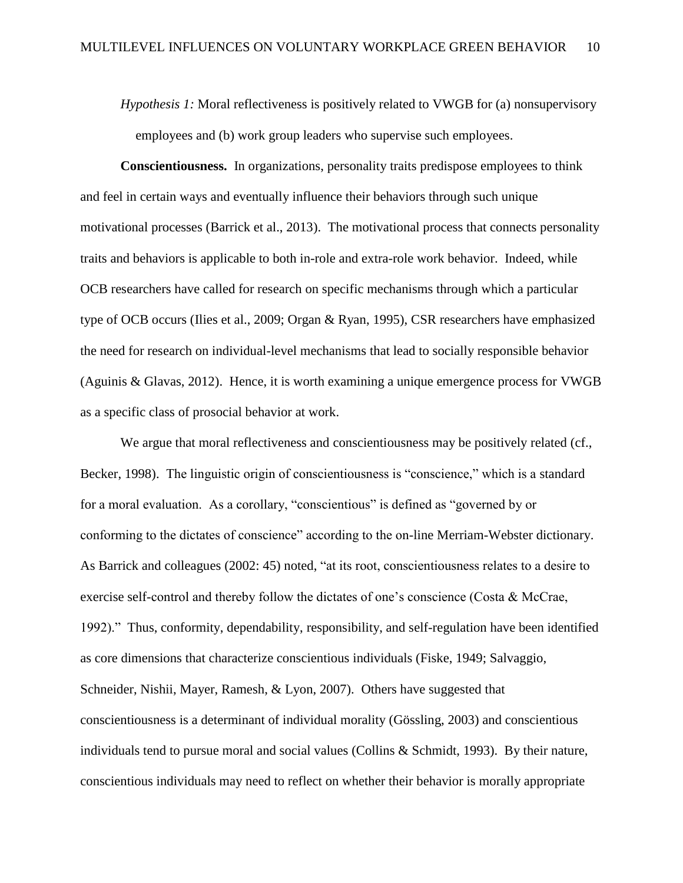*Hypothesis 1:* Moral reflectiveness is positively related to VWGB for (a) nonsupervisory employees and (b) work group leaders who supervise such employees.

**Conscientiousness.** In organizations, personality traits predispose employees to think and feel in certain ways and eventually influence their behaviors through such unique motivational processes (Barrick et al., 2013). The motivational process that connects personality traits and behaviors is applicable to both in-role and extra-role work behavior. Indeed, while OCB researchers have called for research on specific mechanisms through which a particular type of OCB occurs (Ilies et al., 2009; Organ & Ryan, 1995), CSR researchers have emphasized the need for research on individual-level mechanisms that lead to socially responsible behavior (Aguinis & Glavas, 2012). Hence, it is worth examining a unique emergence process for VWGB as a specific class of prosocial behavior at work.

We argue that moral reflectiveness and conscientiousness may be positively related (cf., Becker, 1998). The linguistic origin of conscientiousness is "conscience." which is a standard for a moral evaluation. As a corollary, "conscientious" is defined as "governed by or conforming to the dictates of conscience" according to the on-line Merriam-Webster dictionary. As Barrick and colleagues (2002: 45) noted, "at its root, conscientiousness relates to a desire to exercise self-control and thereby follow the dictates of one's conscience (Costa & McCrae, 1992)." Thus, conformity, dependability, responsibility, and self-regulation have been identified as core dimensions that characterize conscientious individuals (Fiske, 1949; Salvaggio, Schneider, Nishii, Mayer, Ramesh, & Lyon, 2007). Others have suggested that conscientiousness is a determinant of individual morality (Gössling, 2003) and conscientious individuals tend to pursue moral and social values (Collins & Schmidt, 1993). By their nature, conscientious individuals may need to reflect on whether their behavior is morally appropriate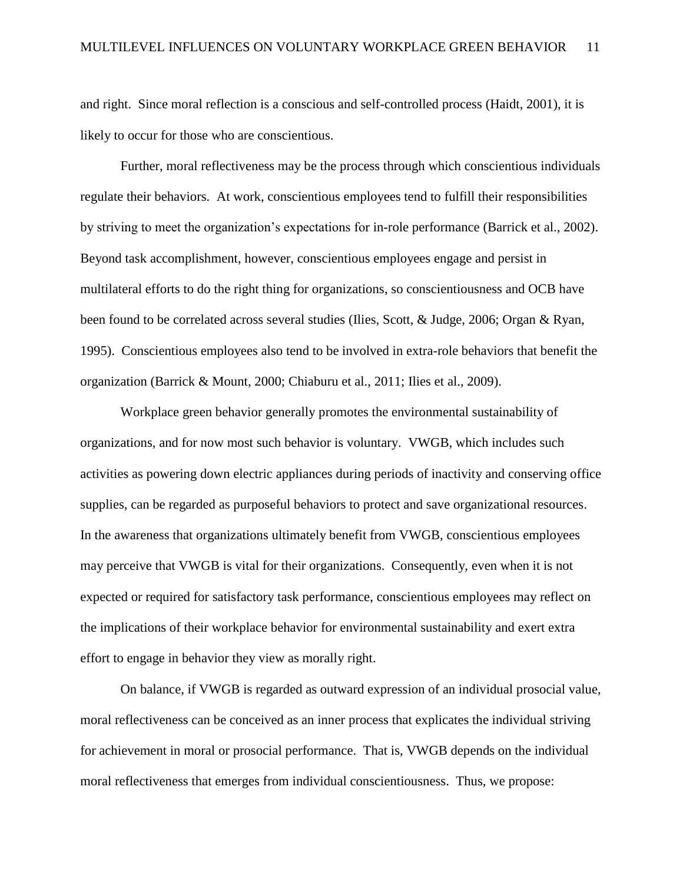and right. Since moral reflection is a conscious and self-controlled process (Haidt, 2001), it is likely to occur for those who are conscientious.

Further, moral reflectiveness may be the process through which conscientious individuals regulate their behaviors. At work, conscientious employees tend to fulfill their responsibilities by striving to meet the organization's expectations for in-role performance (Barrick et al., 2002). Beyond task accomplishment, however, conscientious employees engage and persist in multilateral efforts to do the right thing for organizations, so conscientiousness and OCB have been found to be correlated across several studies (Ilies, Scott, & Judge, 2006; Organ & Ryan, 1995). Conscientious employees also tend to be involved in extra-role behaviors that benefit the organization (Barrick & Mount, 2000; Chiaburu et al., 2011; Ilies et al., 2009).

Workplace green behavior generally promotes the environmental sustainability of organizations, and for now most such behavior is voluntary. VWGB, which includes such activities as powering down electric appliances during periods of inactivity and conserving office supplies, can be regarded as purposeful behaviors to protect and save organizational resources. In the awareness that organizations ultimately benefit from VWGB, conscientious employees may perceive that VWGB is vital for their organizations. Consequently, even when it is not expected or required for satisfactory task performance, conscientious employees may reflect on the implications of their workplace behavior for environmental sustainability and exert extra effort to engage in behavior they view as morally right.

On balance, if VWGB is regarded as outward expression of an individual prosocial value, moral reflectiveness can be conceived as an inner process that explicates the individual striving for achievement in moral or prosocial performance. That is, VWGB depends on the individual moral reflectiveness that emerges from individual conscientiousness. Thus, we propose: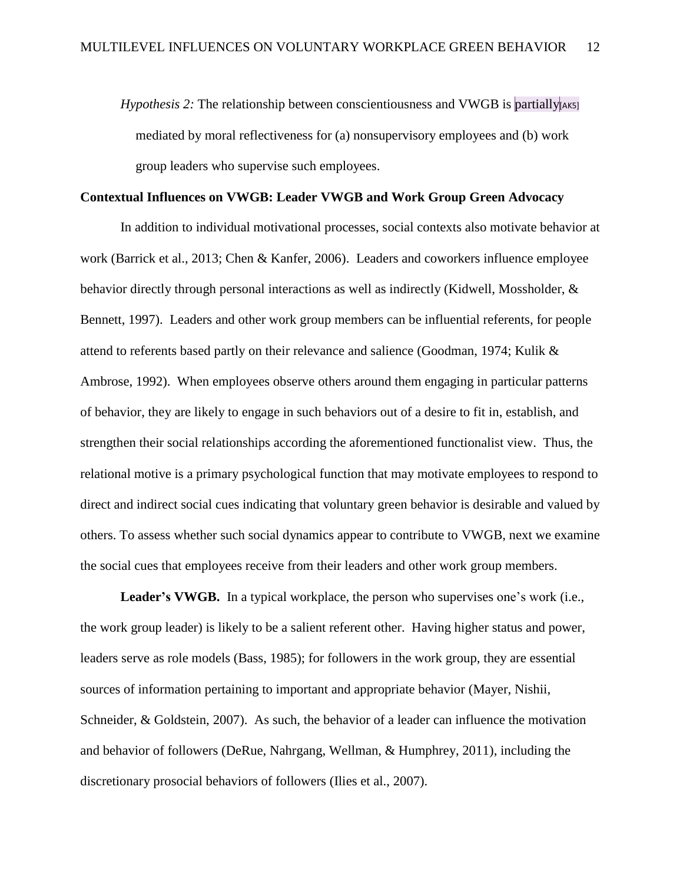*Hypothesis 2:* The relationship between conscientiousness and VWGB is partially [AK5] mediated by moral reflectiveness for (a) nonsupervisory employees and (b) work group leaders who supervise such employees.

### **Contextual Influences on VWGB: Leader VWGB and Work Group Green Advocacy**

In addition to individual motivational processes, social contexts also motivate behavior at work (Barrick et al., 2013; Chen & Kanfer, 2006). Leaders and coworkers influence employee behavior directly through personal interactions as well as indirectly (Kidwell, Mossholder, & Bennett, 1997). Leaders and other work group members can be influential referents, for people attend to referents based partly on their relevance and salience (Goodman, 1974; Kulik & Ambrose, 1992). When employees observe others around them engaging in particular patterns of behavior, they are likely to engage in such behaviors out of a desire to fit in, establish, and strengthen their social relationships according the aforementioned functionalist view. Thus, the relational motive is a primary psychological function that may motivate employees to respond to direct and indirect social cues indicating that voluntary green behavior is desirable and valued by others. To assess whether such social dynamics appear to contribute to VWGB, next we examine the social cues that employees receive from their leaders and other work group members.

**Leader's VWGB.** In a typical workplace, the person who supervises one's work (i.e., the work group leader) is likely to be a salient referent other. Having higher status and power, leaders serve as role models (Bass, 1985); for followers in the work group, they are essential sources of information pertaining to important and appropriate behavior (Mayer, Nishii, Schneider, & Goldstein, 2007). As such, the behavior of a leader can influence the motivation and behavior of followers (DeRue, Nahrgang, Wellman, & Humphrey, 2011), including the discretionary prosocial behaviors of followers (Ilies et al., 2007).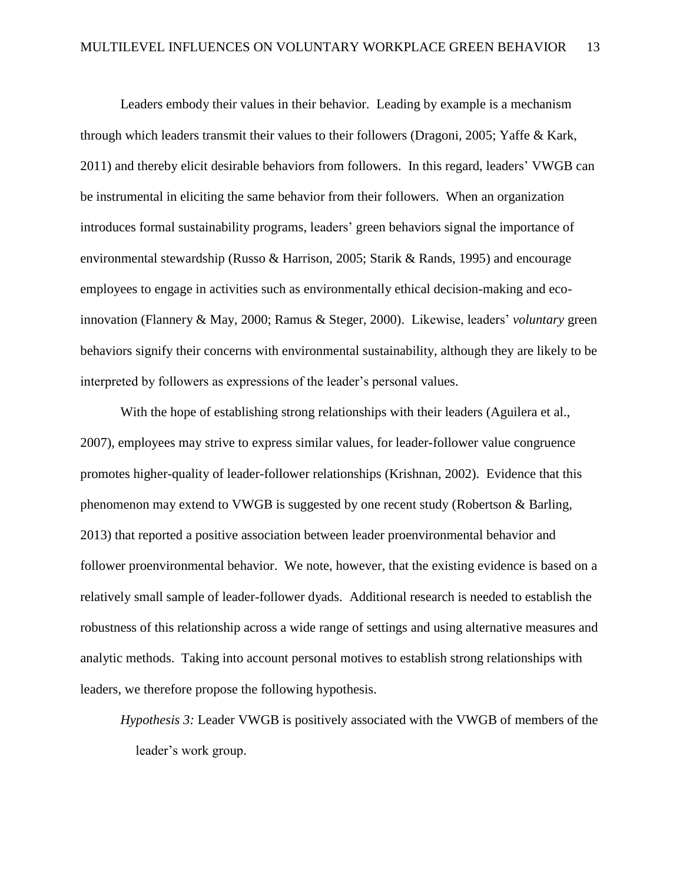Leaders embody their values in their behavior. Leading by example is a mechanism through which leaders transmit their values to their followers (Dragoni, 2005; Yaffe & Kark, 2011) and thereby elicit desirable behaviors from followers. In this regard, leaders' VWGB can be instrumental in eliciting the same behavior from their followers. When an organization introduces formal sustainability programs, leaders' green behaviors signal the importance of environmental stewardship (Russo & Harrison, 2005; Starik & Rands, 1995) and encourage employees to engage in activities such as environmentally ethical decision-making and ecoinnovation (Flannery & May, 2000; Ramus & Steger, 2000). Likewise, leaders' *voluntary* green behaviors signify their concerns with environmental sustainability, although they are likely to be interpreted by followers as expressions of the leader's personal values.

With the hope of establishing strong relationships with their leaders (Aguilera et al., 2007), employees may strive to express similar values, for leader-follower value congruence promotes higher-quality of leader-follower relationships (Krishnan, 2002). Evidence that this phenomenon may extend to VWGB is suggested by one recent study (Robertson & Barling, 2013) that reported a positive association between leader proenvironmental behavior and follower proenvironmental behavior. We note, however, that the existing evidence is based on a relatively small sample of leader-follower dyads. Additional research is needed to establish the robustness of this relationship across a wide range of settings and using alternative measures and analytic methods. Taking into account personal motives to establish strong relationships with leaders, we therefore propose the following hypothesis.

*Hypothesis 3:* Leader VWGB is positively associated with the VWGB of members of the leader's work group.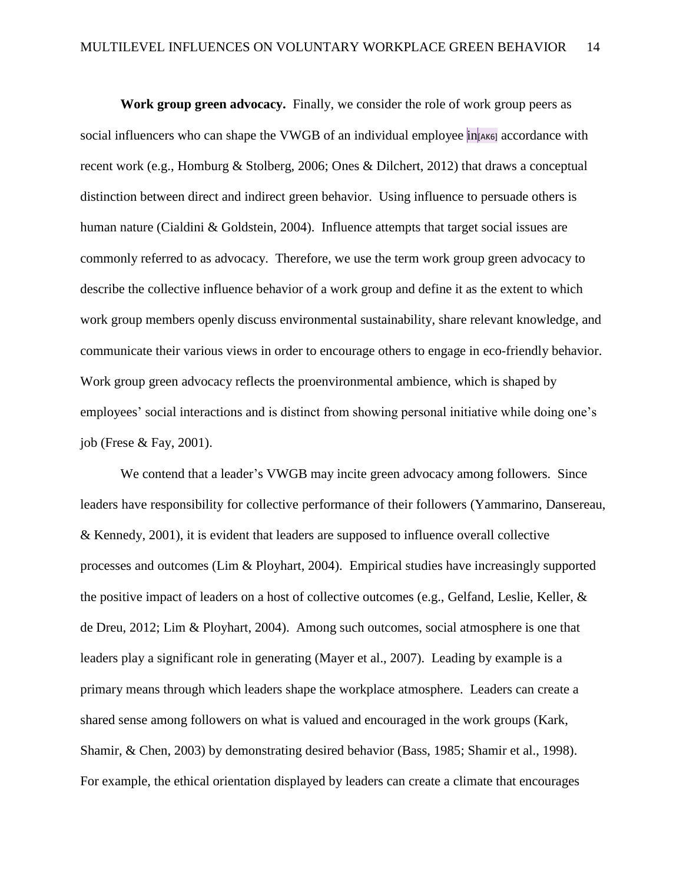**Work group green advocacy.** Finally, we consider the role of work group peers as social influencers who can shape the VWGB of an individual employee in [AK6] accordance with recent work (e.g., Homburg & Stolberg, 2006; Ones & Dilchert, 2012) that draws a conceptual distinction between direct and indirect green behavior. Using influence to persuade others is human nature (Cialdini & Goldstein, 2004). Influence attempts that target social issues are commonly referred to as advocacy. Therefore, we use the term work group green advocacy to describe the collective influence behavior of a work group and define it as the extent to which work group members openly discuss environmental sustainability, share relevant knowledge, and communicate their various views in order to encourage others to engage in eco-friendly behavior. Work group green advocacy reflects the proenvironmental ambience, which is shaped by employees' social interactions and is distinct from showing personal initiative while doing one's job (Frese & Fay, 2001).

We contend that a leader's VWGB may incite green advocacy among followers. Since leaders have responsibility for collective performance of their followers (Yammarino, Dansereau, & Kennedy, 2001), it is evident that leaders are supposed to influence overall collective processes and outcomes (Lim & Ployhart, 2004). Empirical studies have increasingly supported the positive impact of leaders on a host of collective outcomes (e.g., Gelfand, Leslie, Keller, & de Dreu, 2012; Lim & Ployhart, 2004). Among such outcomes, social atmosphere is one that leaders play a significant role in generating (Mayer et al., 2007). Leading by example is a primary means through which leaders shape the workplace atmosphere. Leaders can create a shared sense among followers on what is valued and encouraged in the work groups (Kark, Shamir, & Chen, 2003) by demonstrating desired behavior (Bass, 1985; Shamir et al., 1998). For example, the ethical orientation displayed by leaders can create a climate that encourages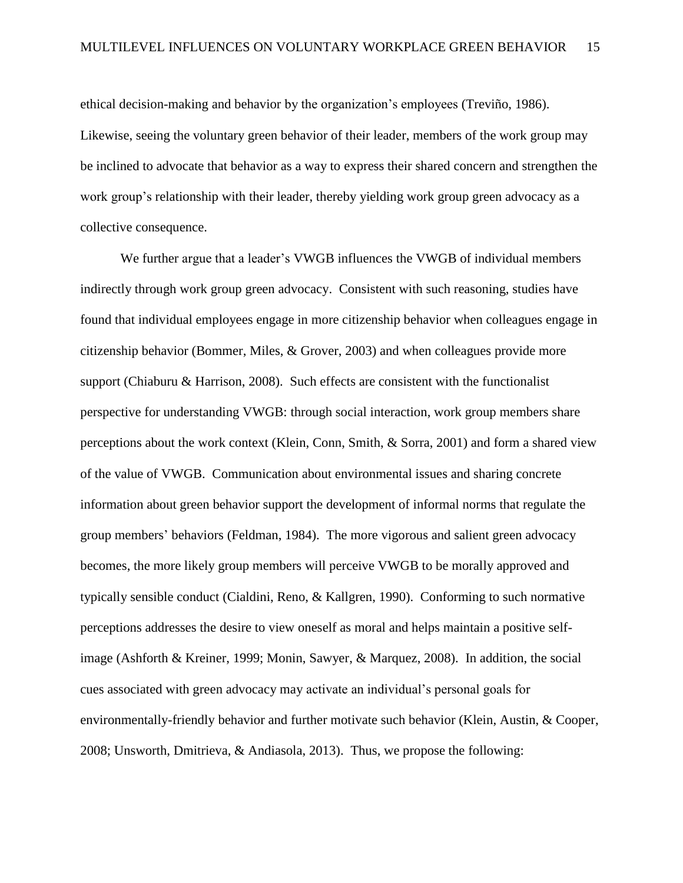ethical decision-making and behavior by the organization's employees (Treviño, 1986). Likewise, seeing the voluntary green behavior of their leader, members of the work group may be inclined to advocate that behavior as a way to express their shared concern and strengthen the work group's relationship with their leader, thereby yielding work group green advocacy as a collective consequence.

We further argue that a leader's VWGB influences the VWGB of individual members indirectly through work group green advocacy. Consistent with such reasoning, studies have found that individual employees engage in more citizenship behavior when colleagues engage in citizenship behavior (Bommer, Miles, & Grover, 2003) and when colleagues provide more support (Chiaburu & Harrison, 2008). Such effects are consistent with the functionalist perspective for understanding VWGB: through social interaction, work group members share perceptions about the work context (Klein, Conn, Smith, & Sorra, 2001) and form a shared view of the value of VWGB. Communication about environmental issues and sharing concrete information about green behavior support the development of informal norms that regulate the group members' behaviors (Feldman, 1984). The more vigorous and salient green advocacy becomes, the more likely group members will perceive VWGB to be morally approved and typically sensible conduct (Cialdini, Reno, & Kallgren, 1990). Conforming to such normative perceptions addresses the desire to view oneself as moral and helps maintain a positive selfimage (Ashforth & Kreiner, 1999; Monin, Sawyer, & Marquez, 2008). In addition, the social cues associated with green advocacy may activate an individual's personal goals for environmentally-friendly behavior and further motivate such behavior (Klein, Austin, & Cooper, 2008; Unsworth, Dmitrieva, & Andiasola, 2013). Thus, we propose the following: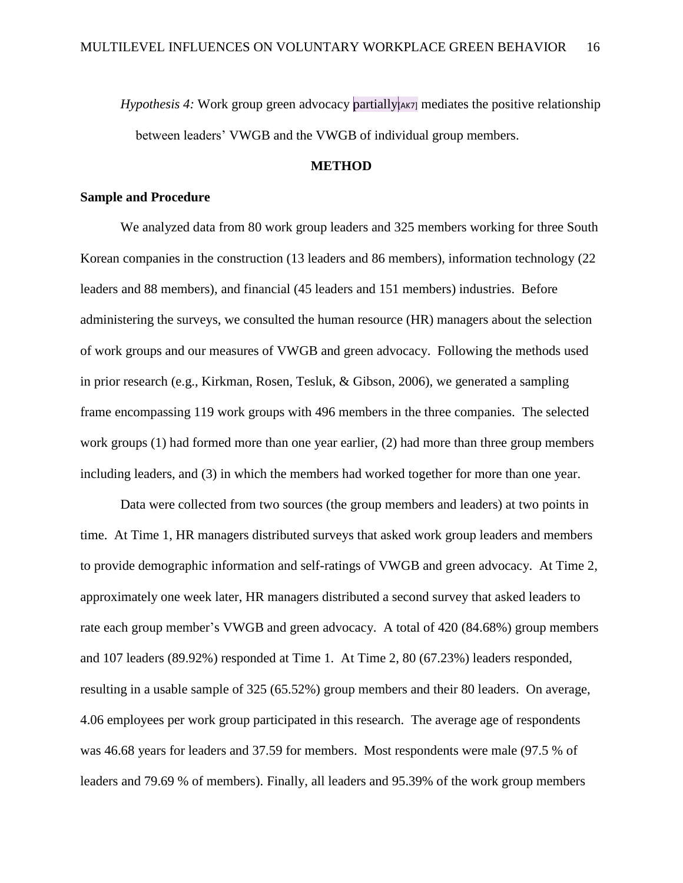*Hypothesis 4:* Work group green advocacy partially  $|A KZ|$  mediates the positive relationship between leaders' VWGB and the VWGB of individual group members.

### **METHOD**

#### **Sample and Procedure**

We analyzed data from 80 work group leaders and 325 members working for three South Korean companies in the construction (13 leaders and 86 members), information technology (22 leaders and 88 members), and financial (45 leaders and 151 members) industries. Before administering the surveys, we consulted the human resource (HR) managers about the selection of work groups and our measures of VWGB and green advocacy. Following the methods used in prior research (e.g., Kirkman, Rosen, Tesluk, & Gibson, 2006), we generated a sampling frame encompassing 119 work groups with 496 members in the three companies. The selected work groups (1) had formed more than one year earlier, (2) had more than three group members including leaders, and (3) in which the members had worked together for more than one year.

Data were collected from two sources (the group members and leaders) at two points in time. At Time 1, HR managers distributed surveys that asked work group leaders and members to provide demographic information and self-ratings of VWGB and green advocacy. At Time 2, approximately one week later, HR managers distributed a second survey that asked leaders to rate each group member's VWGB and green advocacy. A total of 420 (84.68%) group members and 107 leaders (89.92%) responded at Time 1. At Time 2, 80 (67.23%) leaders responded, resulting in a usable sample of 325 (65.52%) group members and their 80 leaders. On average, 4.06 employees per work group participated in this research. The average age of respondents was 46.68 years for leaders and 37.59 for members. Most respondents were male (97.5 % of leaders and 79.69 % of members). Finally, all leaders and 95.39% of the work group members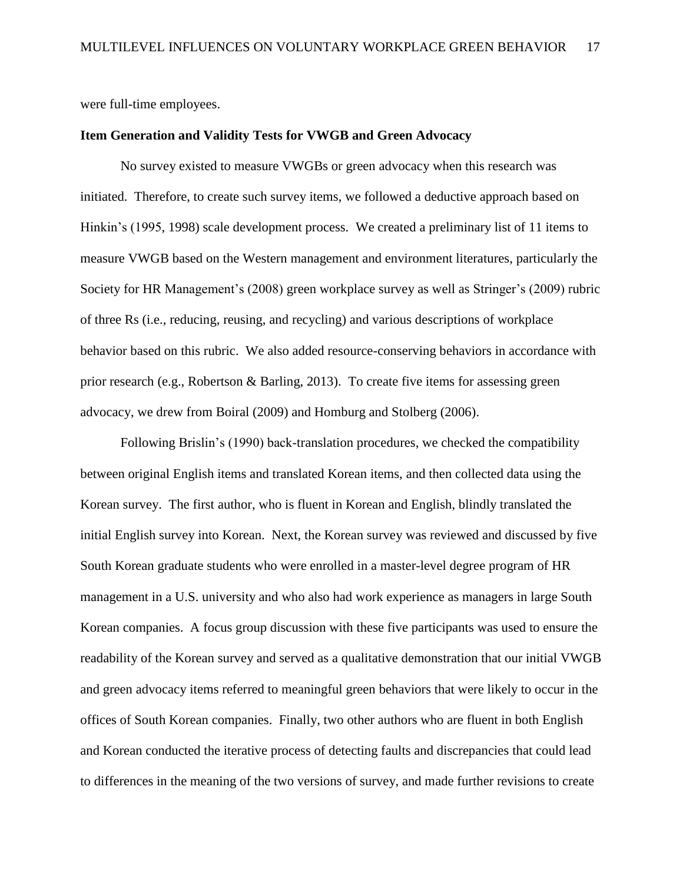were full-time employees.

#### **Item Generation and Validity Tests for VWGB and Green Advocacy**

No survey existed to measure VWGBs or green advocacy when this research was initiated. Therefore, to create such survey items, we followed a deductive approach based on Hinkin's (1995, 1998) scale development process. We created a preliminary list of 11 items to measure VWGB based on the Western management and environment literatures, particularly the Society for HR Management's (2008) green workplace survey as well as Stringer's (2009) rubric of three Rs (i.e., reducing, reusing, and recycling) and various descriptions of workplace behavior based on this rubric. We also added resource-conserving behaviors in accordance with prior research (e.g., Robertson & Barling, 2013). To create five items for assessing green advocacy, we drew from Boiral (2009) and Homburg and Stolberg (2006).

Following Brislin's (1990) back-translation procedures, we checked the compatibility between original English items and translated Korean items, and then collected data using the Korean survey. The first author, who is fluent in Korean and English, blindly translated the initial English survey into Korean. Next, the Korean survey was reviewed and discussed by five South Korean graduate students who were enrolled in a master-level degree program of HR management in a U.S. university and who also had work experience as managers in large South Korean companies. A focus group discussion with these five participants was used to ensure the readability of the Korean survey and served as a qualitative demonstration that our initial VWGB and green advocacy items referred to meaningful green behaviors that were likely to occur in the offices of South Korean companies. Finally, two other authors who are fluent in both English and Korean conducted the iterative process of detecting faults and discrepancies that could lead to differences in the meaning of the two versions of survey, and made further revisions to create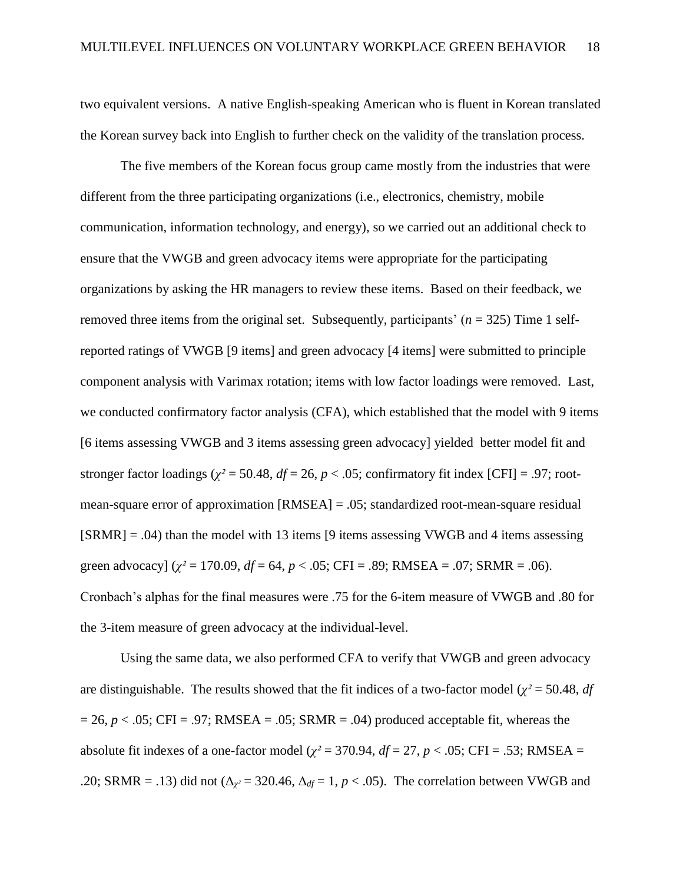two equivalent versions. A native English-speaking American who is fluent in Korean translated the Korean survey back into English to further check on the validity of the translation process.

The five members of the Korean focus group came mostly from the industries that were different from the three participating organizations (i.e., electronics, chemistry, mobile communication, information technology, and energy), so we carried out an additional check to ensure that the VWGB and green advocacy items were appropriate for the participating organizations by asking the HR managers to review these items. Based on their feedback, we removed three items from the original set. Subsequently, participants'  $(n = 325)$  Time 1 selfreported ratings of VWGB [9 items] and green advocacy [4 items] were submitted to principle component analysis with Varimax rotation; items with low factor loadings were removed. Last, we conducted confirmatory factor analysis (CFA), which established that the model with 9 items [6 items assessing VWGB and 3 items assessing green advocacy] yielded better model fit and stronger factor loadings ( $\chi^2$  = 50.48,  $df = 26$ ,  $p < .05$ ; confirmatory fit index [CFI] = .97; rootmean-square error of approximation [RMSEA] = .05; standardized root-mean-square residual  $[SRMR] = .04$ ) than the model with 13 items [9 items assessing VWGB and 4 items assessing green advocacy] ( $\chi^2$  = 170.09,  $df$  = 64,  $p$  < .05; CFI = .89; RMSEA = .07; SRMR = .06). Cronbach's alphas for the final measures were .75 for the 6-item measure of VWGB and .80 for the 3-item measure of green advocacy at the individual-level.

Using the same data, we also performed CFA to verify that VWGB and green advocacy are distinguishable. The results showed that the fit indices of a two-factor model ( $\chi^2$  = 50.48, *df*  $= 26$ ,  $p < .05$ ; CFI = .97; RMSEA = .05; SRMR = .04) produced acceptable fit, whereas the absolute fit indexes of a one-factor model ( $\chi^2$  = 370.94,  $df$  = 27,  $p$  < .05; CFI = .53; RMSEA = .20; SRMR = .13) did not ( $\Delta_{\chi^2}$  = 320.46,  $\Delta_{df}$  = 1, *p* < .05). The correlation between VWGB and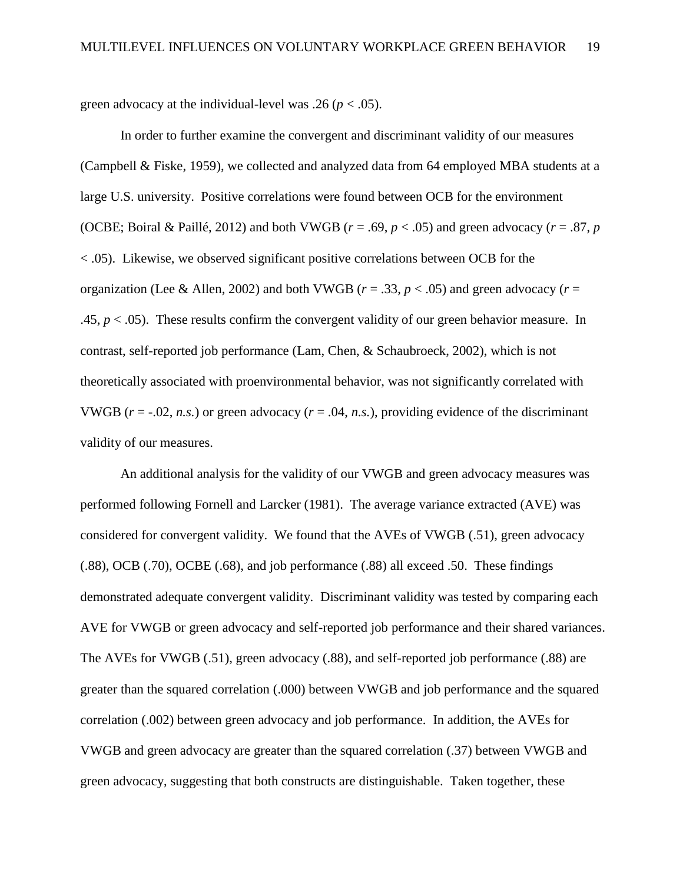green advocacy at the individual-level was .26 ( $p < .05$ ).

In order to further examine the convergent and discriminant validity of our measures (Campbell & Fiske, 1959), we collected and analyzed data from 64 employed MBA students at a large U.S. university. Positive correlations were found between OCB for the environment (OCBE; Boiral & Paillé, 2012) and both VWGB ( $r = .69$ ,  $p < .05$ ) and green advocacy ( $r = .87$ ,  $p$ ) < .05). Likewise, we observed significant positive correlations between OCB for the organization (Lee & Allen, 2002) and both VWGB ( $r = .33$ ,  $p < .05$ ) and green advocacy ( $r =$ .45,  $p < .05$ ). These results confirm the convergent validity of our green behavior measure. In contrast, self-reported job performance (Lam, Chen, & Schaubroeck, 2002), which is not theoretically associated with proenvironmental behavior, was not significantly correlated with VWGB ( $r = -0.02$ , *n.s.*) or green advocacy ( $r = 0.04$ , *n.s.*), providing evidence of the discriminant validity of our measures.

An additional analysis for the validity of our VWGB and green advocacy measures was performed following Fornell and Larcker (1981). The average variance extracted (AVE) was considered for convergent validity. We found that the AVEs of VWGB (.51), green advocacy (.88), OCB (.70), OCBE (.68), and job performance (.88) all exceed .50. These findings demonstrated adequate convergent validity. Discriminant validity was tested by comparing each AVE for VWGB or green advocacy and self-reported job performance and their shared variances. The AVEs for VWGB (.51), green advocacy (.88), and self-reported job performance (.88) are greater than the squared correlation (.000) between VWGB and job performance and the squared correlation (.002) between green advocacy and job performance. In addition, the AVEs for VWGB and green advocacy are greater than the squared correlation (.37) between VWGB and green advocacy, suggesting that both constructs are distinguishable. Taken together, these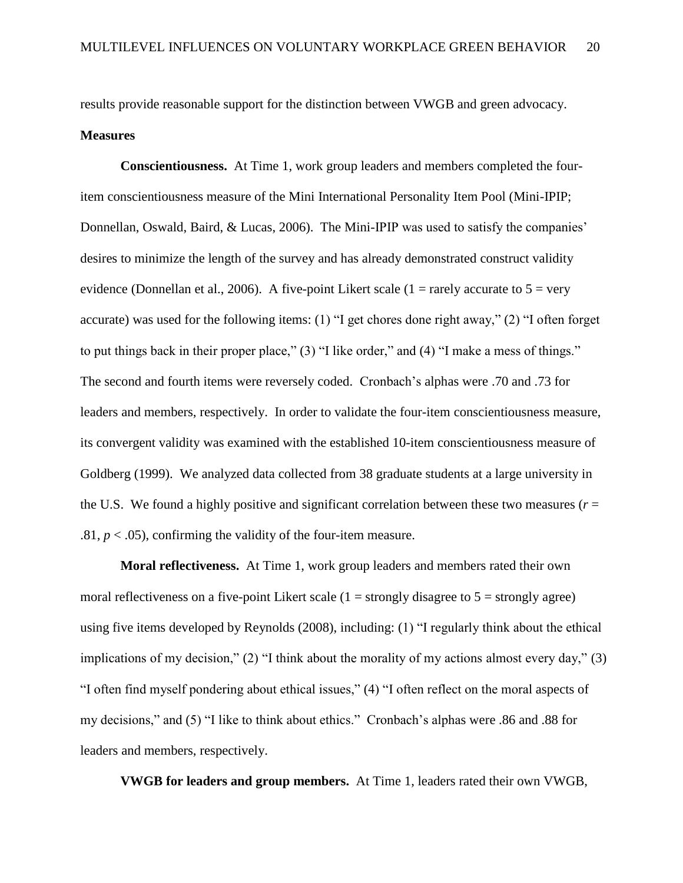results provide reasonable support for the distinction between VWGB and green advocacy. **Measures**

**Conscientiousness.** At Time 1, work group leaders and members completed the fouritem conscientiousness measure of the Mini International Personality Item Pool (Mini-IPIP; Donnellan, Oswald, Baird, & Lucas, 2006). The Mini-IPIP was used to satisfy the companies' desires to minimize the length of the survey and has already demonstrated construct validity evidence (Donnellan et al., 2006). A five-point Likert scale (1 = rarely accurate to  $5 = \text{very}$ ) accurate) was used for the following items: (1) "I get chores done right away," (2) "I often forget to put things back in their proper place," (3) "I like order," and (4) "I make a mess of things." The second and fourth items were reversely coded. Cronbach's alphas were .70 and .73 for leaders and members, respectively. In order to validate the four-item conscientiousness measure, its convergent validity was examined with the established 10-item conscientiousness measure of Goldberg (1999). We analyzed data collected from 38 graduate students at a large university in the U.S. We found a highly positive and significant correlation between these two measures ( $r =$ .81,  $p < .05$ ), confirming the validity of the four-item measure.

**Moral reflectiveness.** At Time 1, work group leaders and members rated their own moral reflectiveness on a five-point Likert scale  $(1 =$  strongly disagree to  $5 =$  strongly agree) using five items developed by Reynolds (2008), including: (1) "I regularly think about the ethical implications of my decision," (2) "I think about the morality of my actions almost every day," (3) "I often find myself pondering about ethical issues," (4) "I often reflect on the moral aspects of my decisions," and (5) "I like to think about ethics." Cronbach's alphas were .86 and .88 for leaders and members, respectively.

**VWGB for leaders and group members.** At Time 1, leaders rated their own VWGB,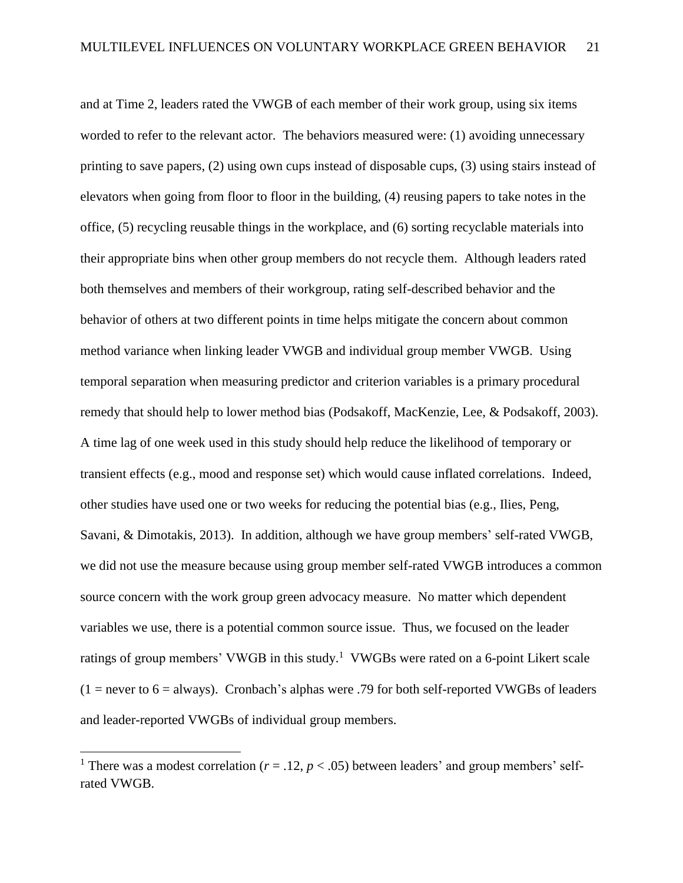and at Time 2, leaders rated the VWGB of each member of their work group, using six items worded to refer to the relevant actor. The behaviors measured were: (1) avoiding unnecessary printing to save papers, (2) using own cups instead of disposable cups, (3) using stairs instead of elevators when going from floor to floor in the building, (4) reusing papers to take notes in the office, (5) recycling reusable things in the workplace, and (6) sorting recyclable materials into their appropriate bins when other group members do not recycle them. Although leaders rated both themselves and members of their workgroup, rating self-described behavior and the behavior of others at two different points in time helps mitigate the concern about common method variance when linking leader VWGB and individual group member VWGB. Using temporal separation when measuring predictor and criterion variables is a primary procedural remedy that should help to lower method bias (Podsakoff, MacKenzie, Lee, & Podsakoff, 2003). A time lag of one week used in this study should help reduce the likelihood of temporary or transient effects (e.g., mood and response set) which would cause inflated correlations. Indeed, other studies have used one or two weeks for reducing the potential bias (e.g., Ilies, Peng, Savani, & Dimotakis, 2013). In addition, although we have group members' self-rated VWGB, we did not use the measure because using group member self-rated VWGB introduces a common source concern with the work group green advocacy measure. No matter which dependent variables we use, there is a potential common source issue. Thus, we focused on the leader ratings of group members' VWGB in this study.<sup>1</sup> VWGBs were rated on a 6-point Likert scale  $(1 =$  never to 6 = always). Cronbach's alphas were .79 for both self-reported VWGBs of leaders and leader-reported VWGBs of individual group members.

 $\overline{a}$ 

<sup>&</sup>lt;sup>1</sup> There was a modest correlation ( $r = .12$ ,  $p < .05$ ) between leaders' and group members' selfrated VWGB.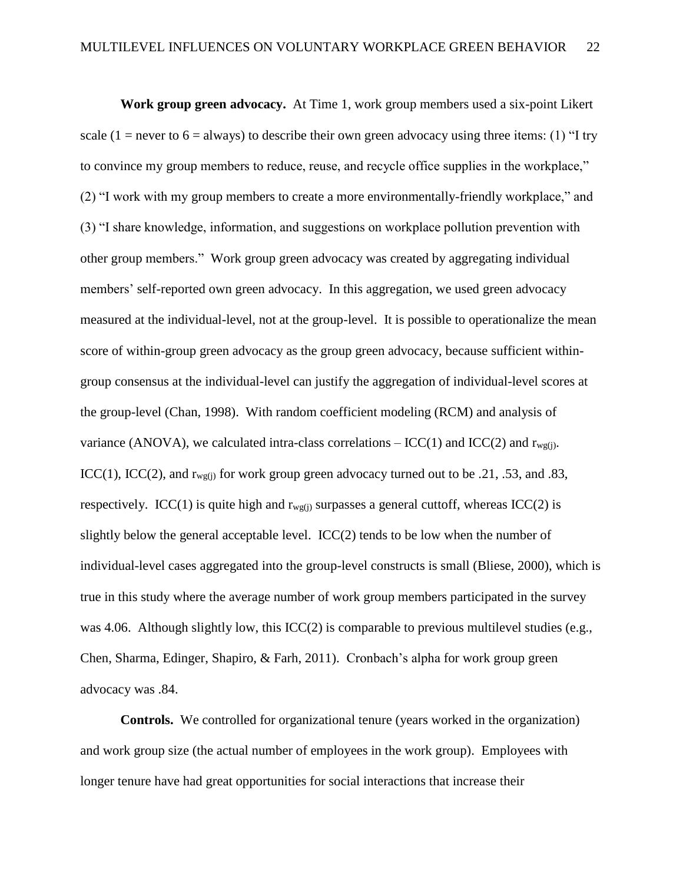**Work group green advocacy.** At Time 1, work group members used a six-point Likert scale (1 = never to 6 = always) to describe their own green advocacy using three items: (1) "I try to convince my group members to reduce, reuse, and recycle office supplies in the workplace," (2) "I work with my group members to create a more environmentally-friendly workplace," and (3) "I share knowledge, information, and suggestions on workplace pollution prevention with other group members." Work group green advocacy was created by aggregating individual members' self-reported own green advocacy. In this aggregation, we used green advocacy measured at the individual-level, not at the group-level. It is possible to operationalize the mean score of within-group green advocacy as the group green advocacy, because sufficient withingroup consensus at the individual-level can justify the aggregation of individual-level scores at the group-level (Chan, 1998). With random coefficient modeling (RCM) and analysis of variance (ANOVA), we calculated intra-class correlations –  $ICC(1)$  and  $ICC(2)$  and  $r_{wg(i)}$ . ICC(1), ICC(2), and  $r_{wg(i)}$  for work group green advocacy turned out to be .21, .53, and .83, respectively. ICC(1) is quite high and  $r_{\text{wg(i)}}$  surpasses a general cuttoff, whereas ICC(2) is slightly below the general acceptable level.  $ICC(2)$  tends to be low when the number of individual-level cases aggregated into the group-level constructs is small (Bliese, 2000), which is true in this study where the average number of work group members participated in the survey was 4.06. Although slightly low, this ICC(2) is comparable to previous multilevel studies (e.g., Chen, Sharma, Edinger, Shapiro, & Farh, 2011). Cronbach's alpha for work group green advocacy was .84.

**Controls.** We controlled for organizational tenure (years worked in the organization) and work group size (the actual number of employees in the work group). Employees with longer tenure have had great opportunities for social interactions that increase their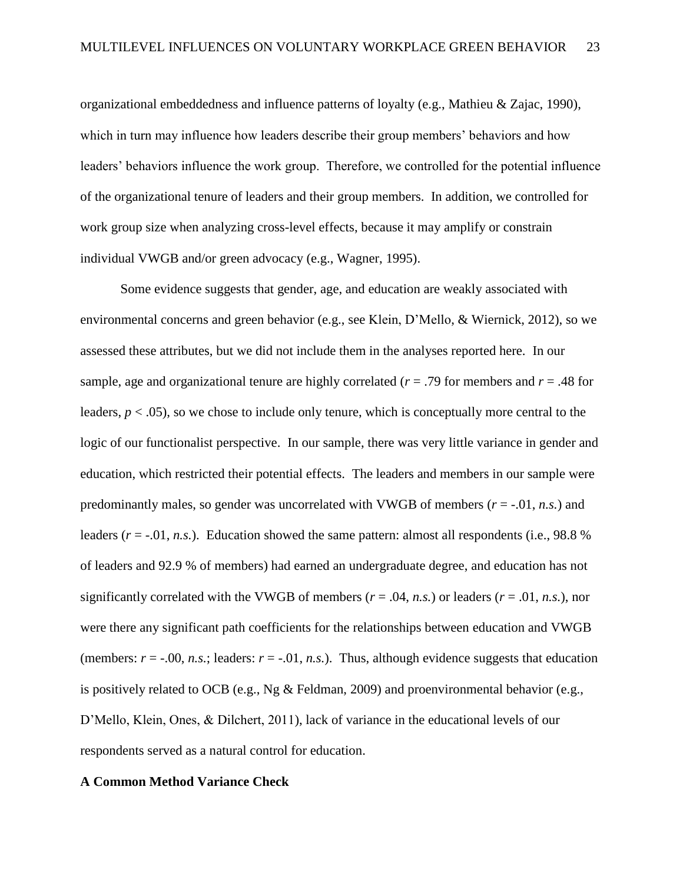organizational embeddedness and influence patterns of loyalty (e.g., Mathieu & Zajac, 1990), which in turn may influence how leaders describe their group members' behaviors and how leaders' behaviors influence the work group. Therefore, we controlled for the potential influence of the organizational tenure of leaders and their group members. In addition, we controlled for work group size when analyzing cross-level effects, because it may amplify or constrain individual VWGB and/or green advocacy (e.g., Wagner, 1995).

Some evidence suggests that gender, age, and education are weakly associated with environmental concerns and green behavior (e.g., see Klein, D'Mello, & Wiernick, 2012), so we assessed these attributes, but we did not include them in the analyses reported here. In our sample, age and organizational tenure are highly correlated ( $r = .79$  for members and  $r = .48$  for leaders,  $p < .05$ ), so we chose to include only tenure, which is conceptually more central to the logic of our functionalist perspective. In our sample, there was very little variance in gender and education, which restricted their potential effects. The leaders and members in our sample were predominantly males, so gender was uncorrelated with VWGB of members  $(r = -0.01, n.s.)$  and leaders  $(r = -0.01, n.s.)$ . Education showed the same pattern: almost all respondents (i.e., 98.8 %) of leaders and 92.9 % of members) had earned an undergraduate degree, and education has not significantly correlated with the VWGB of members ( $r = .04$ ,  $n.s$ .) or leaders ( $r = .01$ ,  $n.s$ .), nor were there any significant path coefficients for the relationships between education and VWGB (members:  $r = -0.00$ , *n.s.*; leaders:  $r = -0.01$ , *n.s.*). Thus, although evidence suggests that education is positively related to OCB (e.g., Ng & Feldman, 2009) and proenvironmental behavior (e.g., D'Mello, Klein, Ones, & Dilchert, 2011), lack of variance in the educational levels of our respondents served as a natural control for education.

### **A Common Method Variance Check**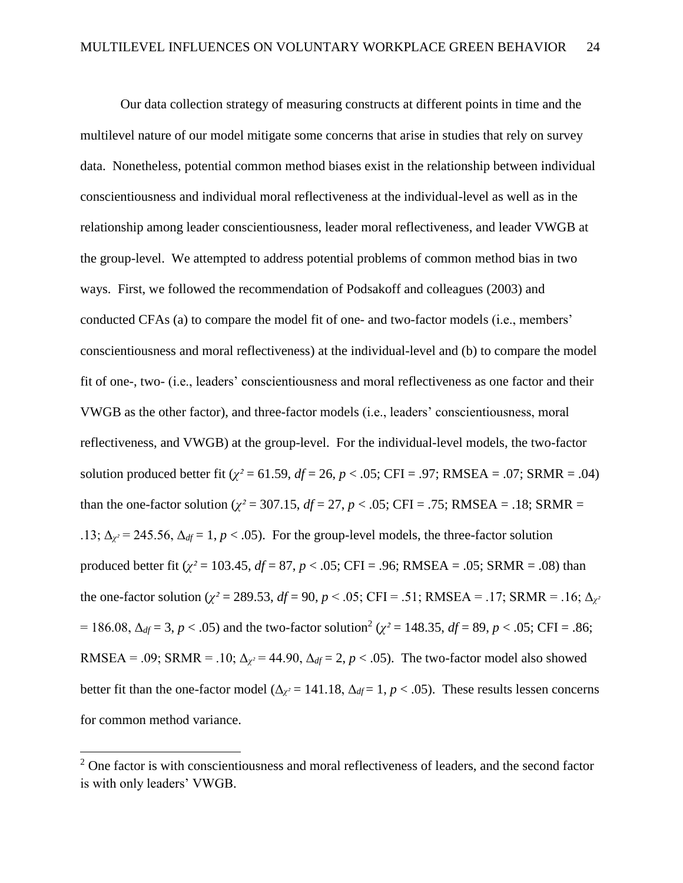Our data collection strategy of measuring constructs at different points in time and the multilevel nature of our model mitigate some concerns that arise in studies that rely on survey data. Nonetheless, potential common method biases exist in the relationship between individual conscientiousness and individual moral reflectiveness at the individual-level as well as in the relationship among leader conscientiousness, leader moral reflectiveness, and leader VWGB at the group-level. We attempted to address potential problems of common method bias in two ways. First, we followed the recommendation of Podsakoff and colleagues (2003) and conducted CFAs (a) to compare the model fit of one- and two-factor models (i.e., members' conscientiousness and moral reflectiveness) at the individual-level and (b) to compare the model fit of one-, two- (i.e., leaders' conscientiousness and moral reflectiveness as one factor and their VWGB as the other factor), and three-factor models (i.e., leaders' conscientiousness, moral reflectiveness, and VWGB) at the group-level. For the individual-level models, the two-factor solution produced better fit ( $\chi^2$  = 61.59, *df* = 26, *p* < .05; CFI = .97; RMSEA = .07; SRMR = .04) than the one-factor solution ( $\chi^2$  = 307.15, *df* = 27, *p* < .05; CFI = .75; RMSEA = .18; SRMR = .13;  $\Delta_{\gamma^2} = 245.56$ ,  $\Delta_{df} = 1$ ,  $p < .05$ ). For the group-level models, the three-factor solution produced better fit (*χ²* = 103.45, *df* = 87, *p* < .05; CFI = .96; RMSEA = .05; SRMR = .08) than the one-factor solution ( $\chi^2 = 289.53$ ,  $df = 90$ ,  $p < .05$ ; CFI = .51; RMSEA = .17; SRMR = .16;  $\Delta_{\chi^2}$ = 186.08,  $\Delta_{df}$  = 3, *p* < .05) and the two-factor solution<sup>2</sup> ( $\chi^2$  = 148.35, *df* = 89, *p* < .05; CFI = .86; RMSEA = .09; SRMR = .10;  $\Delta_{\gamma}$  = 44.90,  $\Delta_{df}$  = 2, *p* < .05). The two-factor model also showed better fit than the one-factor model ( $\Delta_{\chi^2}$  = 141.18,  $\Delta_{df}$  = 1, *p* < .05). These results lessen concerns for common method variance.

 $\overline{a}$ 

<sup>&</sup>lt;sup>2</sup> One factor is with conscientiousness and moral reflectiveness of leaders, and the second factor is with only leaders' VWGB.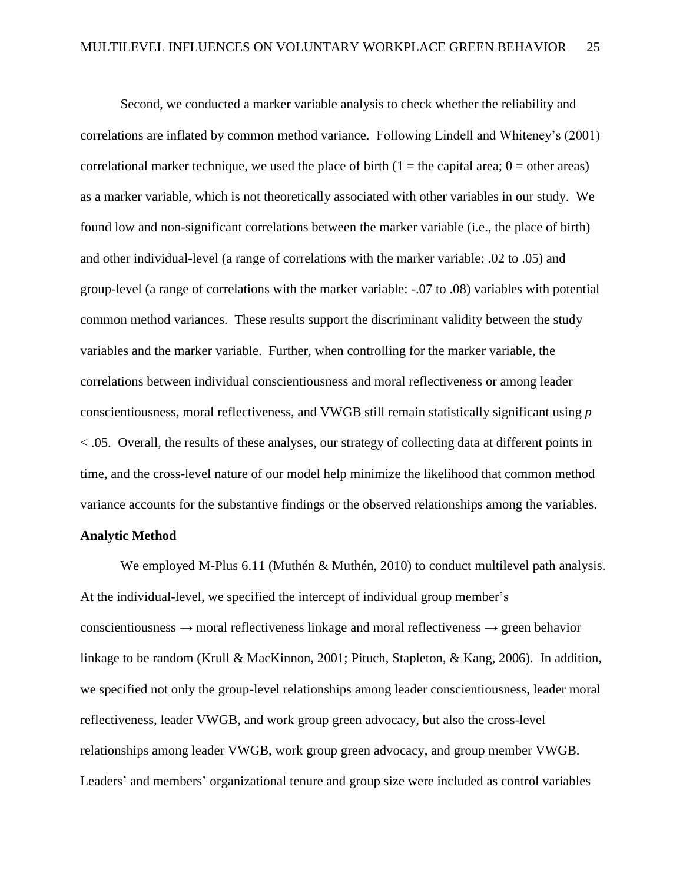Second, we conducted a marker variable analysis to check whether the reliability and correlations are inflated by common method variance. Following Lindell and Whiteney's (2001) correlational marker technique, we used the place of birth  $(1 =$  the capital area;  $0 =$  other areas) as a marker variable, which is not theoretically associated with other variables in our study. We found low and non-significant correlations between the marker variable (i.e., the place of birth) and other individual-level (a range of correlations with the marker variable: .02 to .05) and group-level (a range of correlations with the marker variable: -.07 to .08) variables with potential common method variances. These results support the discriminant validity between the study variables and the marker variable. Further, when controlling for the marker variable, the correlations between individual conscientiousness and moral reflectiveness or among leader conscientiousness, moral reflectiveness, and VWGB still remain statistically significant using *p* < .05. Overall, the results of these analyses, our strategy of collecting data at different points in time, and the cross-level nature of our model help minimize the likelihood that common method variance accounts for the substantive findings or the observed relationships among the variables.

#### **Analytic Method**

We employed M-Plus 6.11 (Muthén & Muthén, 2010) to conduct multilevel path analysis. At the individual-level, we specified the intercept of individual group member's conscientiousness  $\rightarrow$  moral reflectiveness linkage and moral reflectiveness  $\rightarrow$  green behavior linkage to be random (Krull & MacKinnon, 2001; Pituch, Stapleton, & Kang, 2006). In addition, we specified not only the group-level relationships among leader conscientiousness, leader moral reflectiveness, leader VWGB, and work group green advocacy, but also the cross-level relationships among leader VWGB, work group green advocacy, and group member VWGB. Leaders' and members' organizational tenure and group size were included as control variables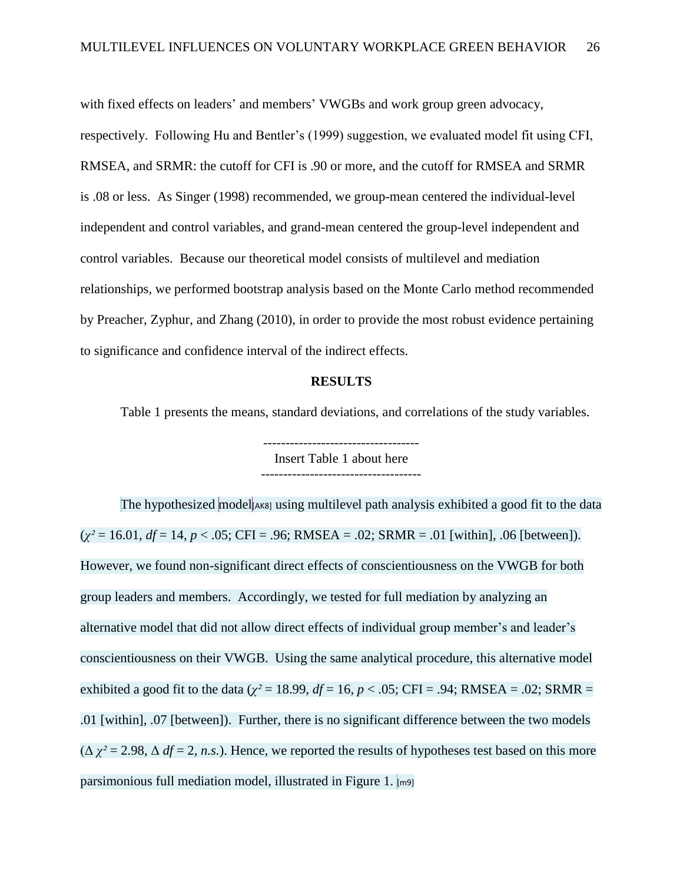with fixed effects on leaders' and members' VWGBs and work group green advocacy, respectively. Following Hu and Bentler's (1999) suggestion, we evaluated model fit using CFI, RMSEA, and SRMR: the cutoff for CFI is .90 or more, and the cutoff for RMSEA and SRMR is .08 or less. As Singer (1998) recommended, we group-mean centered the individual-level independent and control variables, and grand-mean centered the group-level independent and control variables. Because our theoretical model consists of multilevel and mediation relationships, we performed bootstrap analysis based on the Monte Carlo method recommended by Preacher, Zyphur, and Zhang (2010), in order to provide the most robust evidence pertaining to significance and confidence interval of the indirect effects.

#### **RESULTS**

Table 1 presents the means, standard deviations, and correlations of the study variables.

----------------------------------- Insert Table 1 about here

The hypothesized model [AK8] using multilevel path analysis exhibited a good fit to the data  $(\chi^2 = 16.01, df = 14, p < .05; CFI = .96; RMSEA = .02; SRMR = .01$  [within], .06 [between]). However, we found non-significant direct effects of conscientiousness on the VWGB for both group leaders and members. Accordingly, we tested for full mediation by analyzing an alternative model that did not allow direct effects of individual group member's and leader's conscientiousness on their VWGB. Using the same analytical procedure, this alternative model exhibited a good fit to the data ( $\chi^2$  = 18.99, *df* = 16, *p* < .05; CFI = .94; RMSEA = .02; SRMR = .01 [within], .07 [between]). Further, there is no significant difference between the two models  $(\Delta \chi^2 = 2.98, \Delta df = 2, n.s.).$  Hence, we reported the results of hypotheses test based on this more parsimonious full mediation model, illustrated in Figure 1. [m9]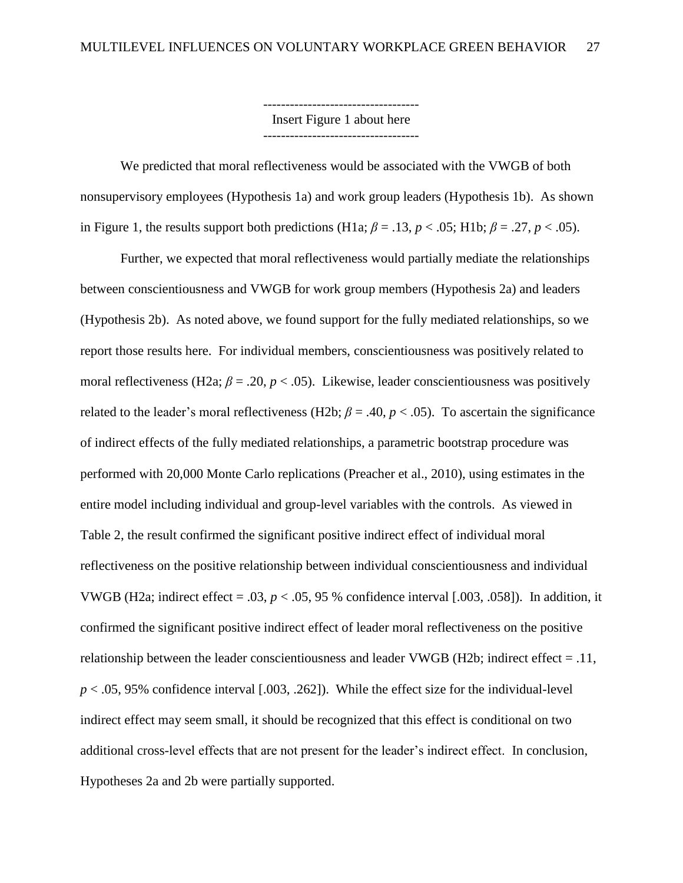----------------------------------- Insert Figure 1 about here -----------------------------------

We predicted that moral reflectiveness would be associated with the VWGB of both nonsupervisory employees (Hypothesis 1a) and work group leaders (Hypothesis 1b). As shown in Figure 1, the results support both predictions (H1a;  $\beta = .13$ ,  $p < .05$ ; H1b;  $\beta = .27$ ,  $p < .05$ ).

Further, we expected that moral reflectiveness would partially mediate the relationships between conscientiousness and VWGB for work group members (Hypothesis 2a) and leaders (Hypothesis 2b). As noted above, we found support for the fully mediated relationships, so we report those results here. For individual members, conscientiousness was positively related to moral reflectiveness (H2a;  $\beta$  = .20,  $p$  < .05). Likewise, leader conscientiousness was positively related to the leader's moral reflectiveness (H2b;  $\beta = .40$ ,  $p < .05$ ). To ascertain the significance of indirect effects of the fully mediated relationships, a parametric bootstrap procedure was performed with 20,000 Monte Carlo replications (Preacher et al., 2010), using estimates in the entire model including individual and group-level variables with the controls. As viewed in Table 2, the result confirmed the significant positive indirect effect of individual moral reflectiveness on the positive relationship between individual conscientiousness and individual VWGB (H2a; indirect effect =  $.03, p < .05, 95$  % confidence interval [ $.003, .058$ ]). In addition, it confirmed the significant positive indirect effect of leader moral reflectiveness on the positive relationship between the leader conscientiousness and leader VWGB (H2b; indirect effect = .11,  $p < .05$ , 95% confidence interval [.003, .262]). While the effect size for the individual-level indirect effect may seem small, it should be recognized that this effect is conditional on two additional cross-level effects that are not present for the leader's indirect effect. In conclusion, Hypotheses 2a and 2b were partially supported.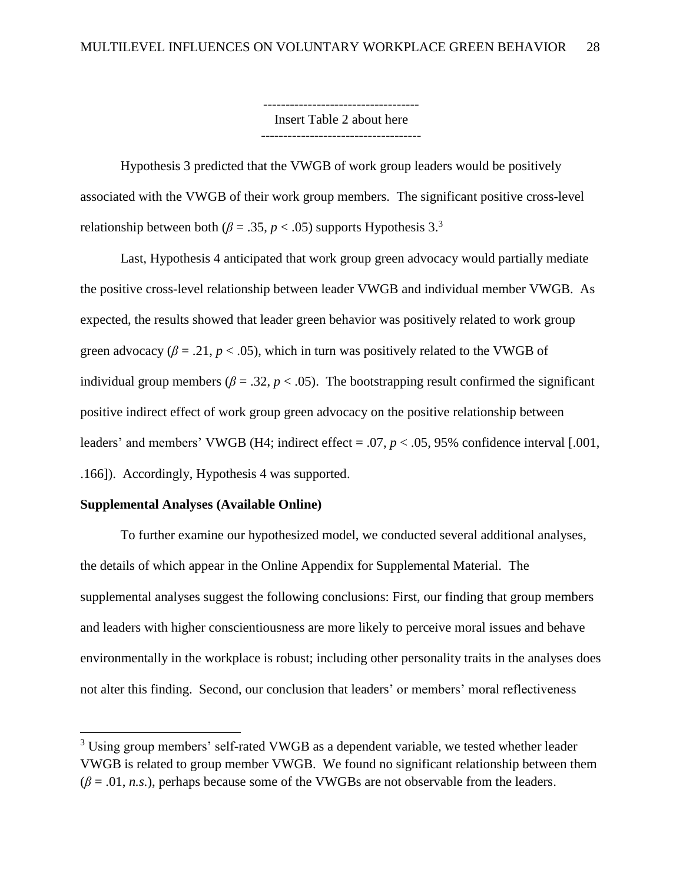----------------------------------- Insert Table 2 about here ------------------------------------

Hypothesis 3 predicted that the VWGB of work group leaders would be positively associated with the VWGB of their work group members. The significant positive cross-level relationship between both ( $\beta = .35$ ,  $p < .05$ ) supports Hypothesis 3.<sup>3</sup>

Last, Hypothesis 4 anticipated that work group green advocacy would partially mediate the positive cross-level relationship between leader VWGB and individual member VWGB. As expected, the results showed that leader green behavior was positively related to work group green advocacy ( $\beta$  = .21,  $p$  < .05), which in turn was positively related to the VWGB of individual group members ( $\beta = 0.32$ ,  $p < 0.05$ ). The bootstrapping result confirmed the significant positive indirect effect of work group green advocacy on the positive relationship between leaders' and members' VWGB (H4; indirect effect = .07, *p* < .05, 95% confidence interval [.001, .166]). Accordingly, Hypothesis 4 was supported.

### **Supplemental Analyses (Available Online)**

 $\overline{\phantom{a}}$ 

To further examine our hypothesized model, we conducted several additional analyses, the details of which appear in the Online Appendix for Supplemental Material. The supplemental analyses suggest the following conclusions: First, our finding that group members and leaders with higher conscientiousness are more likely to perceive moral issues and behave environmentally in the workplace is robust; including other personality traits in the analyses does not alter this finding. Second, our conclusion that leaders' or members' moral reflectiveness

<sup>&</sup>lt;sup>3</sup> Using group members' self-rated VWGB as a dependent variable, we tested whether leader VWGB is related to group member VWGB. We found no significant relationship between them  $(\beta = .01, n.s.)$ , perhaps because some of the VWGBs are not observable from the leaders.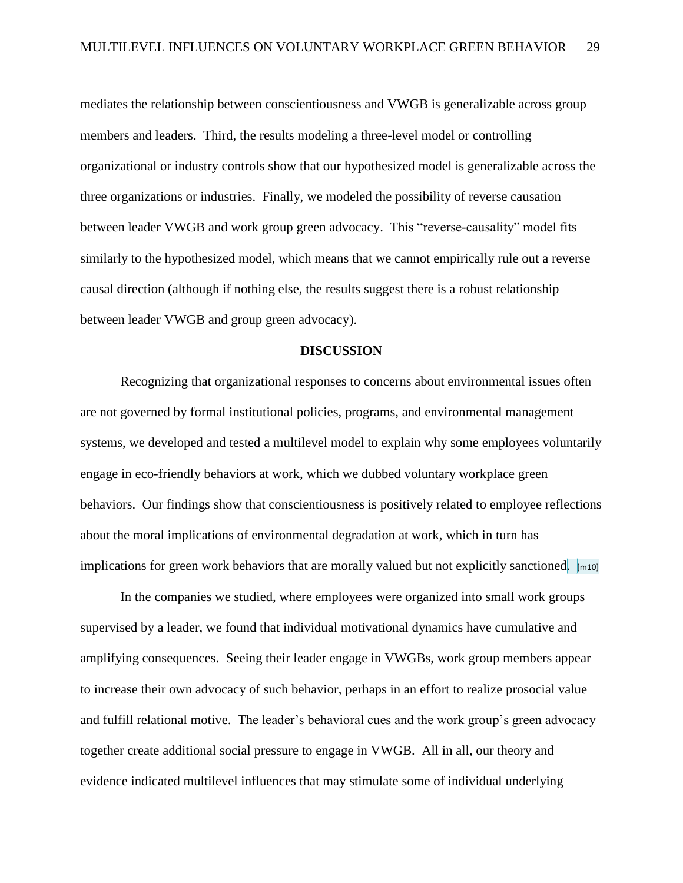mediates the relationship between conscientiousness and VWGB is generalizable across group members and leaders. Third, the results modeling a three-level model or controlling organizational or industry controls show that our hypothesized model is generalizable across the three organizations or industries. Finally, we modeled the possibility of reverse causation between leader VWGB and work group green advocacy. This "reverse-causality" model fits similarly to the hypothesized model, which means that we cannot empirically rule out a reverse causal direction (although if nothing else, the results suggest there is a robust relationship between leader VWGB and group green advocacy).

### **DISCUSSION**

Recognizing that organizational responses to concerns about environmental issues often are not governed by formal institutional policies, programs, and environmental management systems, we developed and tested a multilevel model to explain why some employees voluntarily engage in eco-friendly behaviors at work, which we dubbed voluntary workplace green behaviors. Our findings show that conscientiousness is positively related to employee reflections about the moral implications of environmental degradation at work, which in turn has implications for green work behaviors that are morally valued but not explicitly sanctioned.  $\lbrack \text{m10} \rbrack$ 

In the companies we studied, where employees were organized into small work groups supervised by a leader, we found that individual motivational dynamics have cumulative and amplifying consequences. Seeing their leader engage in VWGBs, work group members appear to increase their own advocacy of such behavior, perhaps in an effort to realize prosocial value and fulfill relational motive. The leader's behavioral cues and the work group's green advocacy together create additional social pressure to engage in VWGB. All in all, our theory and evidence indicated multilevel influences that may stimulate some of individual underlying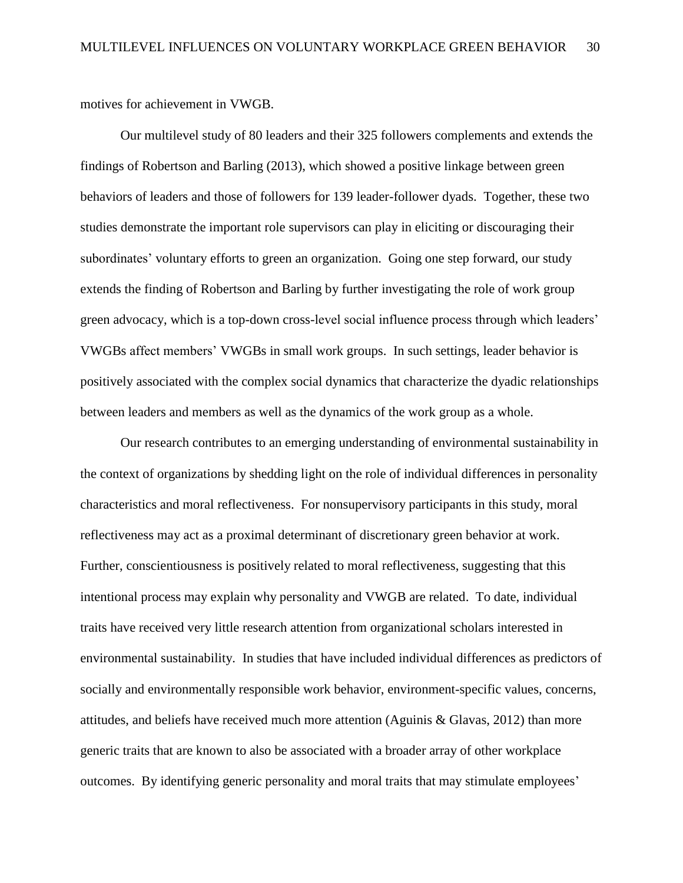motives for achievement in VWGB.

Our multilevel study of 80 leaders and their 325 followers complements and extends the findings of Robertson and Barling (2013), which showed a positive linkage between green behaviors of leaders and those of followers for 139 leader-follower dyads. Together, these two studies demonstrate the important role supervisors can play in eliciting or discouraging their subordinates' voluntary efforts to green an organization. Going one step forward, our study extends the finding of Robertson and Barling by further investigating the role of work group green advocacy, which is a top-down cross-level social influence process through which leaders' VWGBs affect members' VWGBs in small work groups. In such settings, leader behavior is positively associated with the complex social dynamics that characterize the dyadic relationships between leaders and members as well as the dynamics of the work group as a whole.

Our research contributes to an emerging understanding of environmental sustainability in the context of organizations by shedding light on the role of individual differences in personality characteristics and moral reflectiveness. For nonsupervisory participants in this study, moral reflectiveness may act as a proximal determinant of discretionary green behavior at work. Further, conscientiousness is positively related to moral reflectiveness, suggesting that this intentional process may explain why personality and VWGB are related. To date, individual traits have received very little research attention from organizational scholars interested in environmental sustainability. In studies that have included individual differences as predictors of socially and environmentally responsible work behavior, environment-specific values, concerns, attitudes, and beliefs have received much more attention (Aguinis & Glavas, 2012) than more generic traits that are known to also be associated with a broader array of other workplace outcomes. By identifying generic personality and moral traits that may stimulate employees'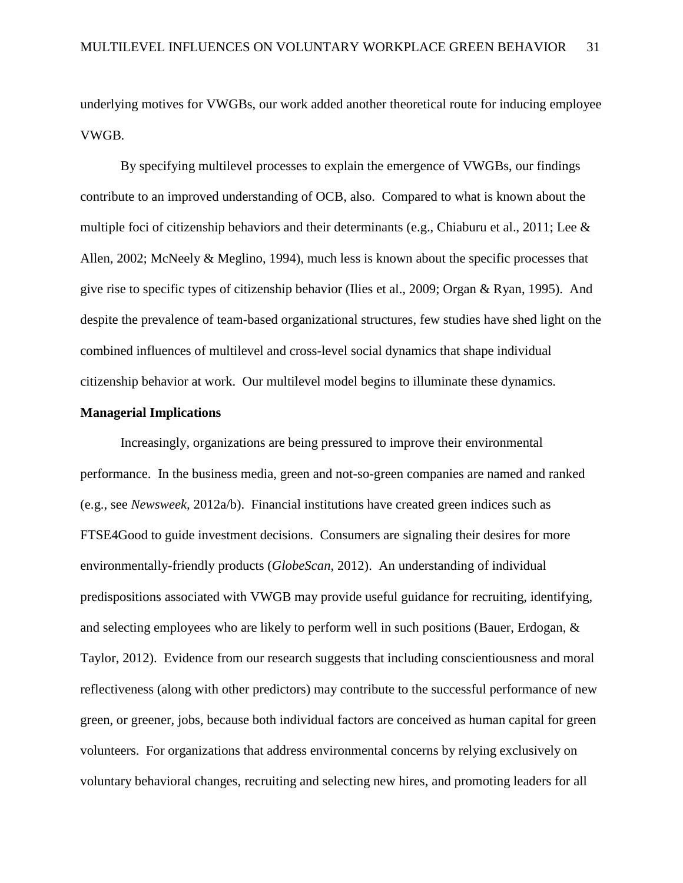underlying motives for VWGBs, our work added another theoretical route for inducing employee VWGB.

By specifying multilevel processes to explain the emergence of VWGBs, our findings contribute to an improved understanding of OCB, also. Compared to what is known about the multiple foci of citizenship behaviors and their determinants (e.g., Chiaburu et al., 2011; Lee & Allen, 2002; McNeely & Meglino, 1994), much less is known about the specific processes that give rise to specific types of citizenship behavior (Ilies et al., 2009; Organ & Ryan, 1995). And despite the prevalence of team-based organizational structures, few studies have shed light on the combined influences of multilevel and cross-level social dynamics that shape individual citizenship behavior at work. Our multilevel model begins to illuminate these dynamics.

### **Managerial Implications**

Increasingly, organizations are being pressured to improve their environmental performance. In the business media, green and not-so-green companies are named and ranked (e.g., see *Newsweek,* 2012a/b). Financial institutions have created green indices such as FTSE4Good to guide investment decisions. Consumers are signaling their desires for more environmentally-friendly products (*GlobeScan*, 2012). An understanding of individual predispositions associated with VWGB may provide useful guidance for recruiting, identifying, and selecting employees who are likely to perform well in such positions (Bauer, Erdogan, & Taylor, 2012). Evidence from our research suggests that including conscientiousness and moral reflectiveness (along with other predictors) may contribute to the successful performance of new green, or greener, jobs, because both individual factors are conceived as human capital for green volunteers. For organizations that address environmental concerns by relying exclusively on voluntary behavioral changes, recruiting and selecting new hires, and promoting leaders for all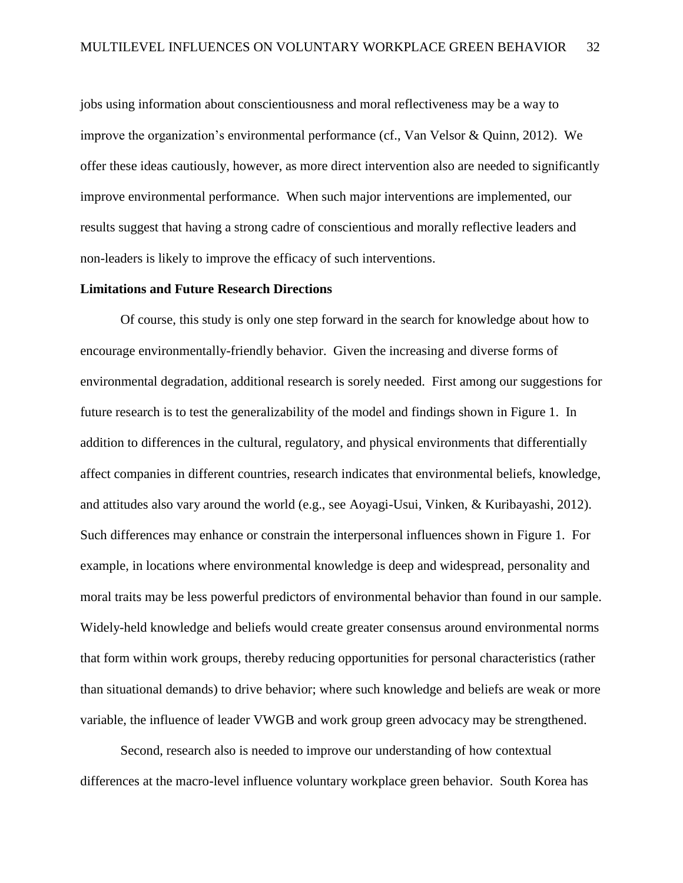jobs using information about conscientiousness and moral reflectiveness may be a way to improve the organization's environmental performance (cf., Van Velsor & Quinn, 2012). We offer these ideas cautiously, however, as more direct intervention also are needed to significantly improve environmental performance. When such major interventions are implemented, our results suggest that having a strong cadre of conscientious and morally reflective leaders and non-leaders is likely to improve the efficacy of such interventions.

#### **Limitations and Future Research Directions**

Of course, this study is only one step forward in the search for knowledge about how to encourage environmentally-friendly behavior. Given the increasing and diverse forms of environmental degradation, additional research is sorely needed. First among our suggestions for future research is to test the generalizability of the model and findings shown in Figure 1. In addition to differences in the cultural, regulatory, and physical environments that differentially affect companies in different countries, research indicates that environmental beliefs, knowledge, and attitudes also vary around the world (e.g., see Aoyagi-Usui, Vinken, & Kuribayashi, 2012). Such differences may enhance or constrain the interpersonal influences shown in Figure 1. For example, in locations where environmental knowledge is deep and widespread, personality and moral traits may be less powerful predictors of environmental behavior than found in our sample. Widely-held knowledge and beliefs would create greater consensus around environmental norms that form within work groups, thereby reducing opportunities for personal characteristics (rather than situational demands) to drive behavior; where such knowledge and beliefs are weak or more variable, the influence of leader VWGB and work group green advocacy may be strengthened.

Second, research also is needed to improve our understanding of how contextual differences at the macro-level influence voluntary workplace green behavior. South Korea has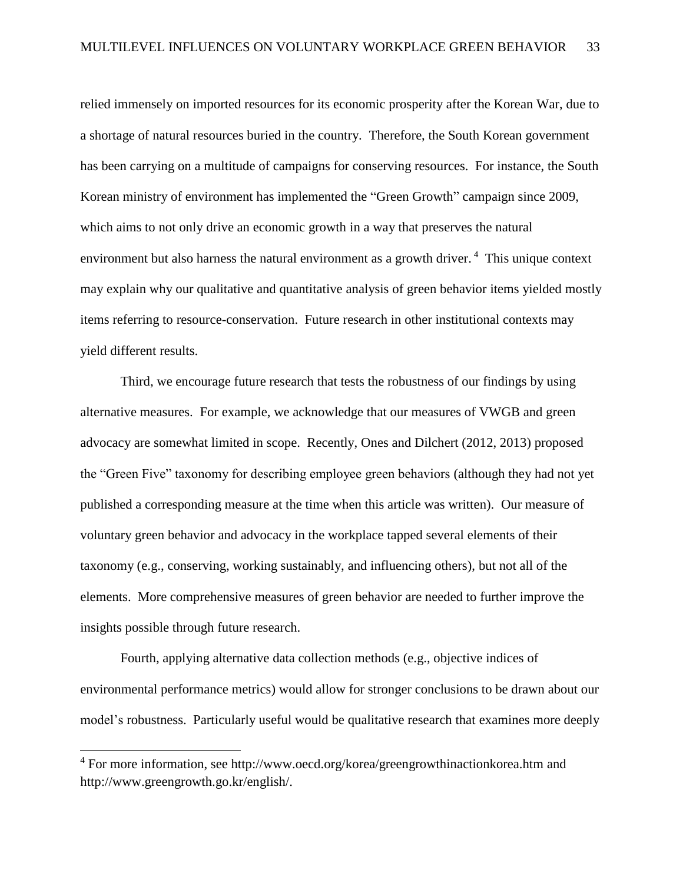relied immensely on imported resources for its economic prosperity after the Korean War, due to a shortage of natural resources buried in the country. Therefore, the South Korean government has been carrying on a multitude of campaigns for conserving resources. For instance, the South Korean ministry of environment has implemented the "Green Growth" campaign since 2009, which aims to not only drive an economic growth in a way that preserves the natural environment but also harness the natural environment as a growth driver.<sup>4</sup> This unique context may explain why our qualitative and quantitative analysis of green behavior items yielded mostly items referring to resource-conservation. Future research in other institutional contexts may yield different results.

Third, we encourage future research that tests the robustness of our findings by using alternative measures. For example, we acknowledge that our measures of VWGB and green advocacy are somewhat limited in scope. Recently, Ones and Dilchert (2012, 2013) proposed the "Green Five" taxonomy for describing employee green behaviors (although they had not yet published a corresponding measure at the time when this article was written). Our measure of voluntary green behavior and advocacy in the workplace tapped several elements of their taxonomy (e.g., conserving, working sustainably, and influencing others), but not all of the elements. More comprehensive measures of green behavior are needed to further improve the insights possible through future research.

Fourth, applying alternative data collection methods (e.g., objective indices of environmental performance metrics) would allow for stronger conclusions to be drawn about our model's robustness. Particularly useful would be qualitative research that examines more deeply

 $\overline{\phantom{a}}$ 

<sup>&</sup>lt;sup>4</sup> For more information, see<http://www.oecd.org/korea/greengrowthinactionkorea.htm> and http://www.greengrowth.go.kr/english/.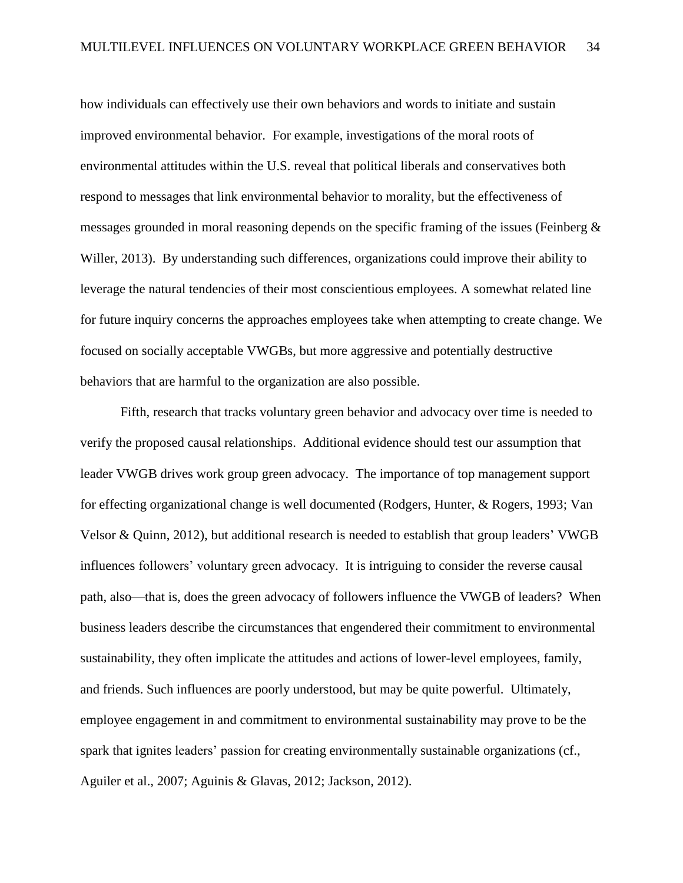how individuals can effectively use their own behaviors and words to initiate and sustain improved environmental behavior. For example, investigations of the moral roots of environmental attitudes within the U.S. reveal that political liberals and conservatives both respond to messages that link environmental behavior to morality, but the effectiveness of messages grounded in moral reasoning depends on the specific framing of the issues (Feinberg & Willer, 2013). By understanding such differences, organizations could improve their ability to leverage the natural tendencies of their most conscientious employees. A somewhat related line for future inquiry concerns the approaches employees take when attempting to create change. We focused on socially acceptable VWGBs, but more aggressive and potentially destructive behaviors that are harmful to the organization are also possible.

Fifth, research that tracks voluntary green behavior and advocacy over time is needed to verify the proposed causal relationships. Additional evidence should test our assumption that leader VWGB drives work group green advocacy. The importance of top management support for effecting organizational change is well documented (Rodgers, Hunter, & Rogers, 1993; Van Velsor & Quinn, 2012), but additional research is needed to establish that group leaders' VWGB influences followers' voluntary green advocacy. It is intriguing to consider the reverse causal path, also—that is, does the green advocacy of followers influence the VWGB of leaders? When business leaders describe the circumstances that engendered their commitment to environmental sustainability, they often implicate the attitudes and actions of lower-level employees, family, and friends. Such influences are poorly understood, but may be quite powerful. Ultimately, employee engagement in and commitment to environmental sustainability may prove to be the spark that ignites leaders' passion for creating environmentally sustainable organizations (cf., Aguiler et al., 2007; Aguinis & Glavas, 2012; Jackson, 2012).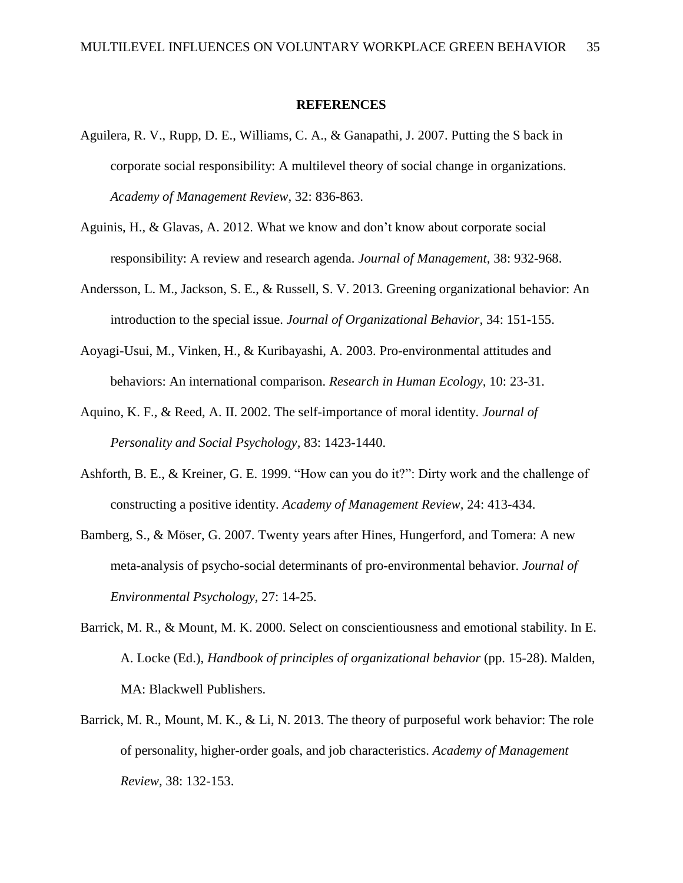#### **REFERENCES**

- Aguilera, R. V., Rupp, D. E., Williams, C. A., & Ganapathi, J. 2007. Putting the S back in corporate social responsibility: A multilevel theory of social change in organizations. *Academy of Management Review,* 32: 836-863.
- Aguinis, H., & Glavas, A. 2012. What we know and don't know about corporate social responsibility: A review and research agenda. *Journal of Management,* 38: 932-968.
- Andersson, L. M., Jackson, S. E., & Russell, S. V. 2013. Greening organizational behavior: An introduction to the special issue. *Journal of Organizational Behavior,* 34: 151-155.
- Aoyagi-Usui, M., Vinken, H., & Kuribayashi, A. 2003. Pro-environmental attitudes and behaviors: An international comparison. *Research in Human Ecology,* 10: 23-31.
- Aquino, K. F., & Reed, A. II. 2002. The self-importance of moral identity. *Journal of Personality and Social Psychology,* 83: 1423-1440.
- Ashforth, B. E., & Kreiner, G. E. 1999. "How can you do it?": Dirty work and the challenge of constructing a positive identity. *Academy of Management Review,* 24: 413-434.
- Bamberg, S., & [Möser,](http://scholar.google.com/citations?user=Kt6tCygAAAAJ&hl=en&oi=sra) G. 2007. Twenty years after Hines, Hungerford, and Tomera: A new meta-analysis of psycho-social determinants of pro-environmental behavior. *Journal of Environmental Psychology,* 27: 14-25.
- Barrick, M. R., & Mount, M. K. 2000. Select on conscientiousness and emotional stability. In E. A. Locke (Ed.), *Handbook of principles of organizational behavior* (pp. 15-28). Malden, MA: Blackwell Publishers.
- Barrick, M. R., Mount, M. K., & Li, N. 2013. The theory of purposeful work behavior: The role of personality, higher-order goals, and job characteristics. *Academy of Management Review,* 38: 132-153.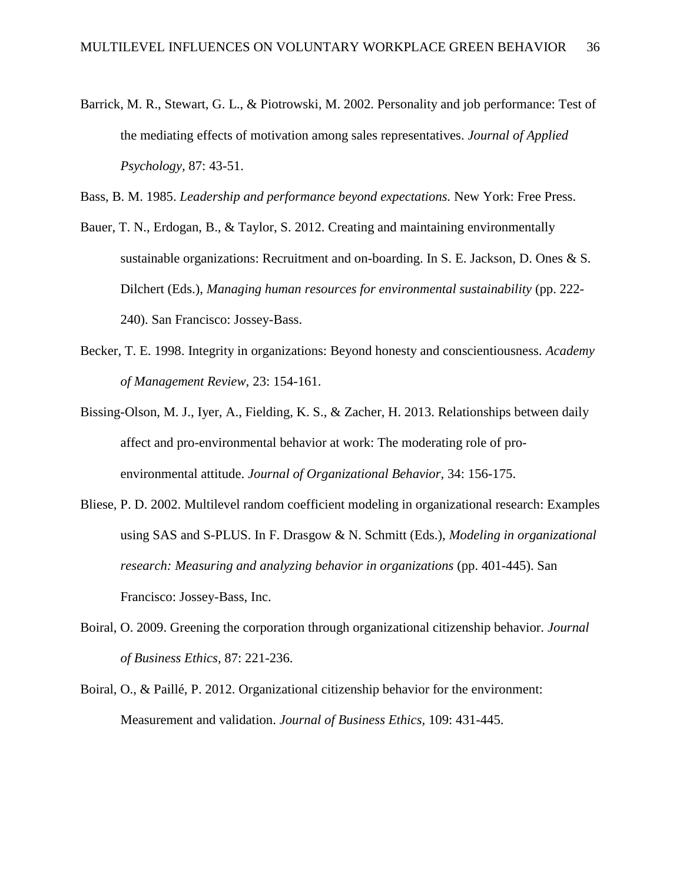- Barrick, M. R., Stewart, G. L., & Piotrowski, M. 2002. Personality and job performance: Test of the mediating effects of motivation among sales representatives. *Journal of Applied Psychology,* 87: 43-51.
- Bass, B. M. 1985. *Leadership and performance beyond expectations.* New York: Free Press.
- Bauer, T. N., Erdogan, B., & Taylor, S. 2012. Creating and maintaining environmentally sustainable organizations: Recruitment and on-boarding. In S. E. Jackson, D. Ones & S. Dilchert (Eds.), *Managing human resources for environmental sustainability* (pp. 222- 240). San Francisco: Jossey-Bass.
- Becker, T. E. 1998. Integrity in organizations: Beyond honesty and conscientiousness. *Academy of Management Review,* 23: 154-161.
- Bissing-Olson, M. J., Iyer, A., Fielding, K. S., & Zacher, H. 2013. Relationships between daily affect and pro-environmental behavior at work: The moderating role of proenvironmental attitude. *Journal of Organizational Behavior,* 34: 156-175.
- Bliese, P. D. 2002. Multilevel random coefficient modeling in organizational research: Examples using SAS and S-PLUS. In F. Drasgow & N. Schmitt (Eds.), *Modeling in organizational research: Measuring and analyzing behavior in organizations* (pp. 401-445). San Francisco: Jossey-Bass, Inc.
- Boiral, O. 2009. Greening the corporation through organizational citizenship behavior. *Journal of Business Ethics,* 87: 221-236.
- Boiral, O., & Paillé, P. 2012. Organizational citizenship behavior for the environment: Measurement and validation. *Journal of Business Ethics,* 109: 431-445.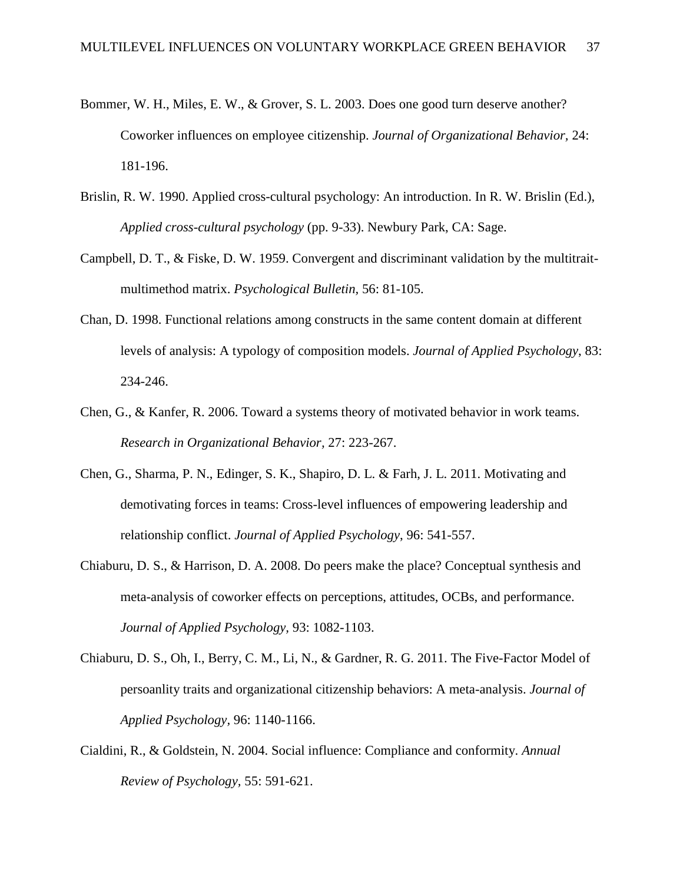- Bommer, W. H., Miles, E. W., & Grover, S. L. 2003. Does one good turn deserve another? Coworker influences on employee citizenship. *Journal of Organizational Behavior,* 24: 181-196.
- Brislin, R. W. 1990. Applied cross-cultural psychology: An introduction. In R. W. Brislin (Ed.), *Applied cross-cultural psychology* (pp. 9-33). Newbury Park, CA: Sage.
- Campbell, D. T., & Fiske, D. W. 1959. Convergent and discriminant validation by the multitraitmultimethod matrix. *Psychological Bulletin,* 56: 81-105.
- Chan, D. 1998. Functional relations among constructs in the same content domain at different levels of analysis: A typology of composition models. *Journal of Applied Psychology*, 83: 234-246.
- Chen, G., & Kanfer, R. 2006. Toward a systems theory of motivated behavior in work teams. *Research in Organizational Behavior,* 27: 223-267.
- Chen, G., Sharma, P. N., Edinger, S. K., Shapiro, D. L. & Farh, J. L. 2011. Motivating and demotivating forces in teams: Cross-level influences of empowering leadership and relationship conflict. *Journal of Applied Psychology*, 96: 541-557.
- Chiaburu, D. S., & Harrison, D. A. 2008. Do peers make the place? Conceptual synthesis and meta-analysis of coworker effects on perceptions, attitudes, OCBs, and performance. *Journal of Applied Psychology,* 93: 1082-1103.
- Chiaburu, D. S., Oh, I., Berry, C. M., Li, N., & Gardner, R. G. 2011. The Five-Factor Model of persoanlity traits and organizational citizenship behaviors: A meta-analysis. *Journal of Applied Psychology,* 96: 1140-1166.
- Cialdini, R., & Goldstein, N. 2004. Social influence: Compliance and conformity. *Annual Review of Psychology,* 55: 591-621.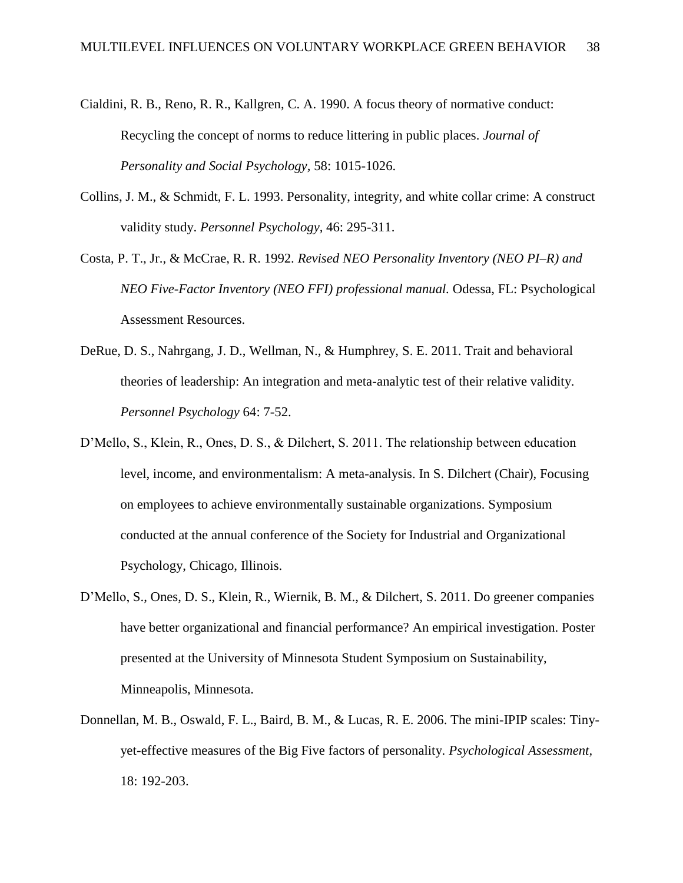- Cialdini, R. B., Reno, R. R., Kallgren, C. A. 1990. A focus theory of normative conduct: Recycling the concept of norms to reduce littering in public places. *Journal of Personality and Social Psychology,* 58: 1015-1026.
- Collins, J. M., & Schmidt, F. L. 1993. Personality, integrity, and white collar crime: A construct validity study. *Personnel Psychology,* 46: 295-311.
- Costa, P. T., Jr., & McCrae, R. R. 1992. *Revised NEO Personality Inventory (NEO PI–R) and NEO Five-Factor Inventory (NEO FFI) professional manual.* Odessa, FL: Psychological Assessment Resources.
- DeRue, D. S., Nahrgang, J. D., Wellman, N., & Humphrey, S. E. 2011. Trait and behavioral theories of leadership: An integration and meta-analytic test of their relative validity. *Personnel Psychology* 64: 7-52.
- D'Mello, S., Klein, R., Ones, D. S., & Dilchert, S. 2011. The relationship between education level, income, and environmentalism: A meta-analysis. In S. Dilchert (Chair), Focusing on employees to achieve environmentally sustainable organizations. Symposium conducted at the annual conference of the Society for Industrial and Organizational Psychology, Chicago, Illinois.
- D'Mello, S., Ones, D. S., Klein, R., Wiernik, B. M., & Dilchert, S. 2011. Do greener companies have better organizational and financial performance? An empirical investigation. Poster presented at the University of Minnesota Student Symposium on Sustainability, Minneapolis, Minnesota.
- Donnellan, M. B., Oswald, F. L., Baird, B. M., & Lucas, R. E. 2006. The mini-IPIP scales: Tinyyet-effective measures of the Big Five factors of personality. *Psychological Assessment,*  18: 192-203.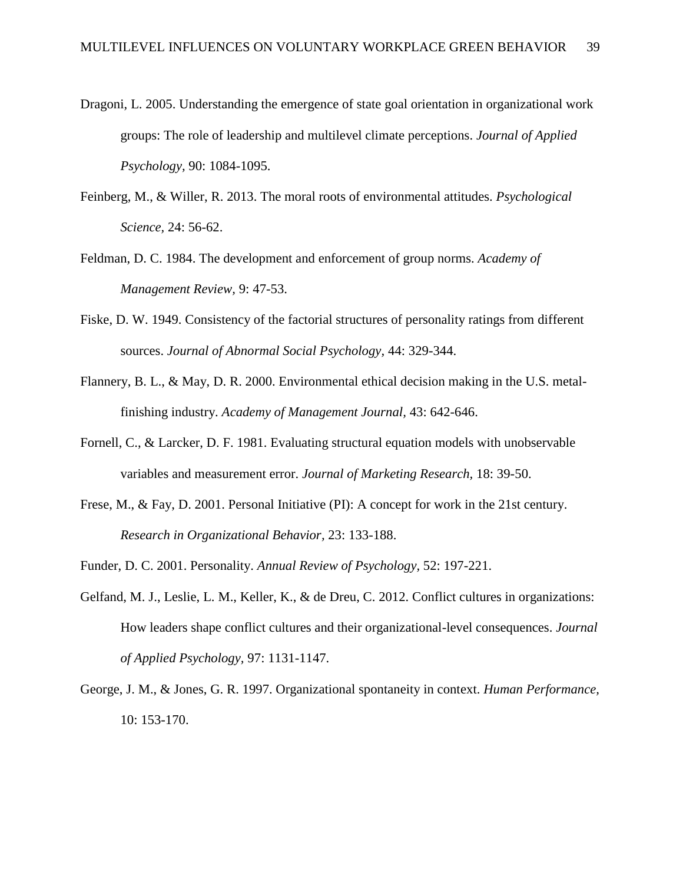- Dragoni, L. 2005. Understanding the emergence of state goal orientation in organizational work groups: The role of leadership and multilevel climate perceptions. *Journal of Applied Psychology,* 90: 1084-1095.
- Feinberg, M., & Willer, R. 2013. The moral roots of environmental attitudes. *Psychological Science,* 24: 56-62.
- Feldman, D. C. 1984. The development and enforcement of group norms. *Academy of Management Review,* 9: 47-53.
- Fiske, D. W. 1949. Consistency of the factorial structures of personality ratings from different sources. *Journal of Abnormal Social Psychology,* 44: 329-344.
- Flannery, B. L., & May, D. R. 2000. Environmental ethical decision making in the U.S. metalfinishing industry. *Academy of Management Journal,* 43: 642-646.
- Fornell, C., & Larcker, D. F. 1981. Evaluating structural equation models with unobservable variables and measurement error. *Journal of Marketing Research,* 18: 39-50.
- Frese, M., & Fay, D. 2001. Personal Initiative (PI): A concept for work in the 21st century. *Research in Organizational Behavior,* 23: 133-188.
- Funder, D. C. 2001. Personality. *Annual Review of Psychology,* 52: 197-221.
- Gelfand, M. J., Leslie, L. M., Keller, K., & de Dreu, C. 2012. Conflict cultures in organizations: How leaders shape conflict cultures and their organizational-level consequences. *Journal of Applied Psychology,* 97: 1131-1147.
- George, J. M., & Jones, G. R. 1997. Organizational spontaneity in context. *Human Performance,* 10: 153-170.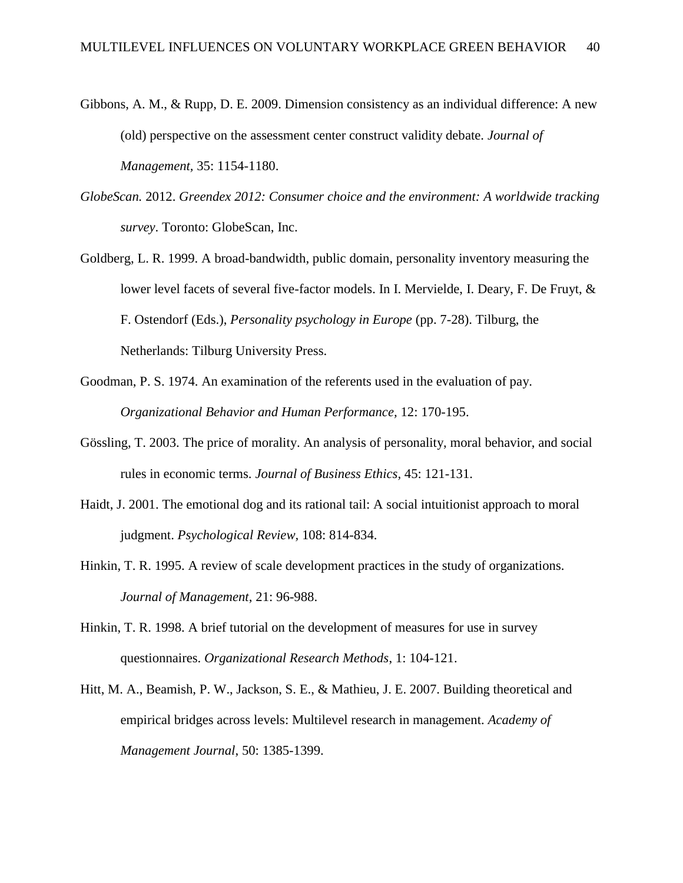- Gibbons, A. M., & Rupp, D. E. 2009. Dimension consistency as an individual difference: A new (old) perspective on the assessment center construct validity debate. *Journal of Management,* 35: 1154-1180.
- *GlobeScan.* 2012. *Greendex 2012: Consumer choice and the environment: A worldwide tracking survey*. Toronto: GlobeScan, Inc.
- Goldberg, L. R. 1999. A broad-bandwidth, public domain, personality inventory measuring the lower level facets of several five-factor models. In I. Mervielde, I. Deary, F. De Fruyt, & F. Ostendorf (Eds.), *Personality psychology in Europe* (pp. 7-28). Tilburg, the Netherlands: Tilburg University Press.
- Goodman, P. S. 1974. An examination of the referents used in the evaluation of pay. *Organizational Behavior and Human Performance,* 12: 170-195.
- Gössling, T. 2003. The price of morality. An analysis of personality, moral behavior, and social rules in economic terms. *Journal of Business Ethics,* 45: 121-131.
- Haidt, J. 2001. The emotional dog and its rational tail: A social intuitionist approach to moral judgment. *Psychological Review,* 108: 814-834.
- Hinkin, T. R. 1995. A review of scale development practices in the study of organizations. *Journal of Management*, 21: 96-988.
- Hinkin, T. R. 1998. A brief tutorial on the development of measures for use in survey questionnaires. *Organizational Research Methods*, 1: 104-121.
- Hitt, M. A., Beamish, P. W., Jackson, S. E., & Mathieu, J. E. 2007. Building theoretical and empirical bridges across levels: Multilevel research in management. *Academy of Management Journal*, 50: 1385-1399.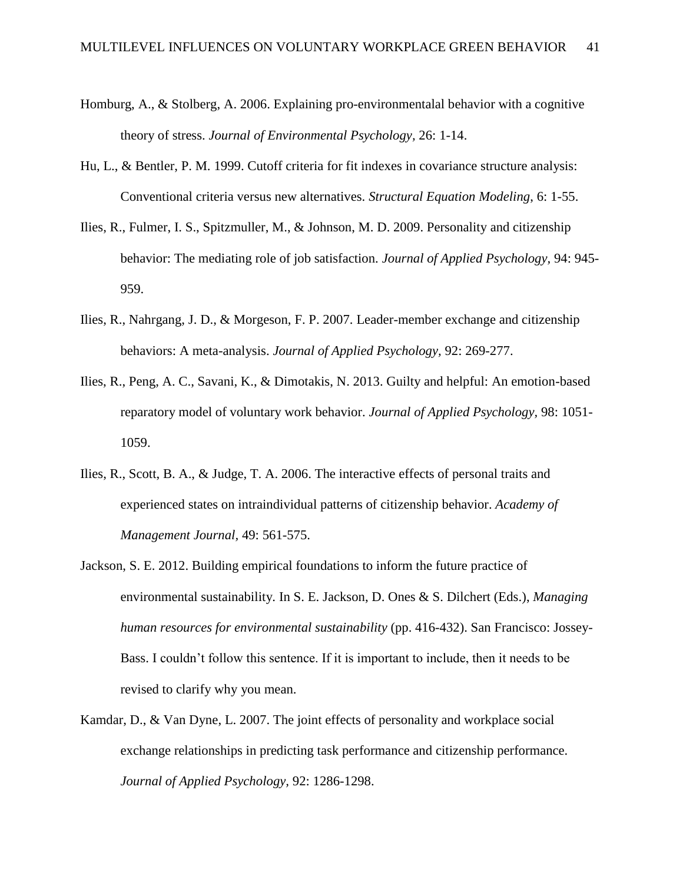- Homburg, A., & Stolberg, A. 2006. Explaining pro-environmentalal behavior with a cognitive theory of stress. *Journal of Environmental Psychology,* 26: 1-14.
- Hu, L., & Bentler, P. M. 1999. Cutoff criteria for fit indexes in covariance structure analysis: Conventional criteria versus new alternatives. *Structural Equation Modeling*, 6: 1-55.
- Ilies, R., Fulmer, I. S., Spitzmuller, M., & Johnson, M. D. 2009. Personality and citizenship behavior: The mediating role of job satisfaction. *Journal of Applied Psychology,* 94: 945- 959.
- Ilies, R., Nahrgang, J. D., & Morgeson, F. P. 2007. Leader-member exchange and citizenship behaviors: A meta-analysis. *Journal of Applied Psychology,* 92: 269-277.
- Ilies, R., Peng, A. C., Savani, K., & Dimotakis, N. 2013. Guilty and helpful: An emotion-based reparatory model of voluntary work behavior. *Journal of Applied Psychology,* 98: 1051- 1059.
- Ilies, R., Scott, B. A., & Judge, T. A. 2006. The interactive effects of personal traits and experienced states on intraindividual patterns of citizenship behavior. *Academy of Management Journal,* 49: 561-575.
- Jackson, S. E. 2012. Building empirical foundations to inform the future practice of environmental sustainability. In S. E. Jackson, D. Ones & S. Dilchert (Eds.), *Managing human resources for environmental sustainability* (pp. 416-432). San Francisco: Jossey-Bass. I couldn't follow this sentence. If it is important to include, then it needs to be revised to clarify why you mean.
- Kamdar, D., & Van Dyne, L. 2007. The joint effects of personality and workplace social exchange relationships in predicting task performance and citizenship performance. *Journal of Applied Psychology,* 92: 1286-1298.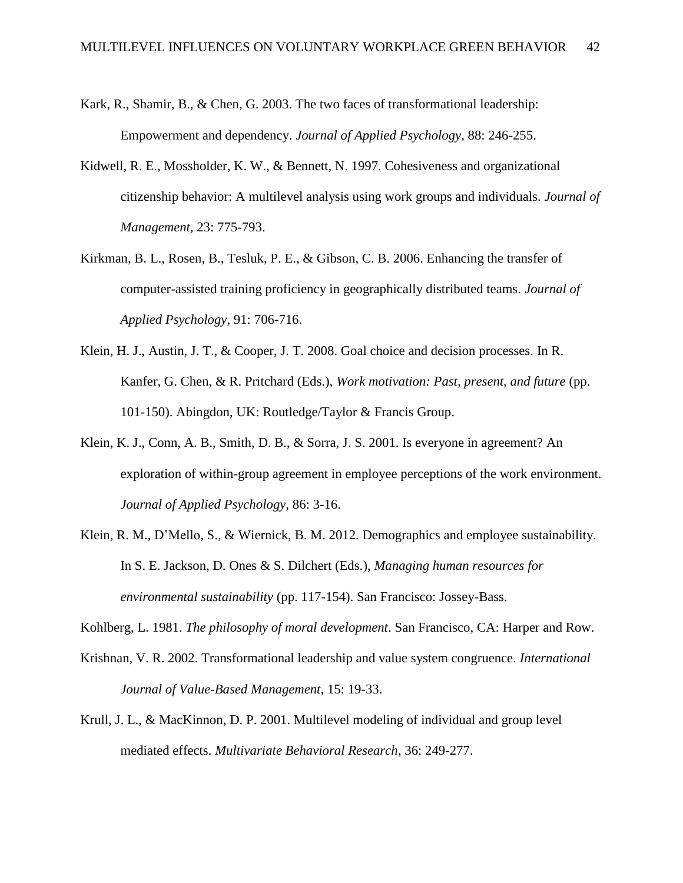- Kark, R., Shamir, B., & Chen, G. 2003. The two faces of transformational leadership: Empowerment and dependency. *Journal of Applied Psychology,* 88: 246-255.
- Kidwell, R. E., Mossholder, K. W., & Bennett, N. 1997. Cohesiveness and organizational citizenship behavior: A multilevel analysis using work groups and individuals. *Journal of Management,* 23: 775-793.
- Kirkman, B. L., Rosen, B., Tesluk, P. E., & Gibson, C. B. 2006. Enhancing the transfer of computer-assisted training proficiency in geographically distributed teams. *Journal of Applied Psychology,* 91: 706-716.
- Klein, H. J., Austin, J. T., & Cooper, J. T. 2008. Goal choice and decision processes. In R. Kanfer, G. Chen, & R. Pritchard (Eds.), *Work motivation: Past, present, and future* (pp. 101-150). Abingdon, UK: Routledge/Taylor & Francis Group.
- Klein, K. J., Conn, A. B., Smith, D. B., & Sorra, J. S. 2001. Is everyone in agreement? An exploration of within-group agreement in employee perceptions of the work environment. *Journal of Applied Psychology,* 86: 3-16.
- Klein, R. M., D'Mello, S., & Wiernick, B. M. 2012. Demographics and employee sustainability. In S. E. Jackson, D. Ones & S. Dilchert (Eds.), *Managing human resources for environmental sustainability* (pp. 117-154). San Francisco: Jossey-Bass.
- Kohlberg, L. 1981. *The philosophy of moral development*. San Francisco, CA: Harper and Row.
- Krishnan, V. R. 2002. Transformational leadership and value system congruence. *International Journal of Value-Based Management,* 15: 19-33.
- Krull, J. L., & MacKinnon, D. P. 2001. Multilevel modeling of individual and group level mediated effects. *Multivariate Behavioral Research,* 36: 249-277.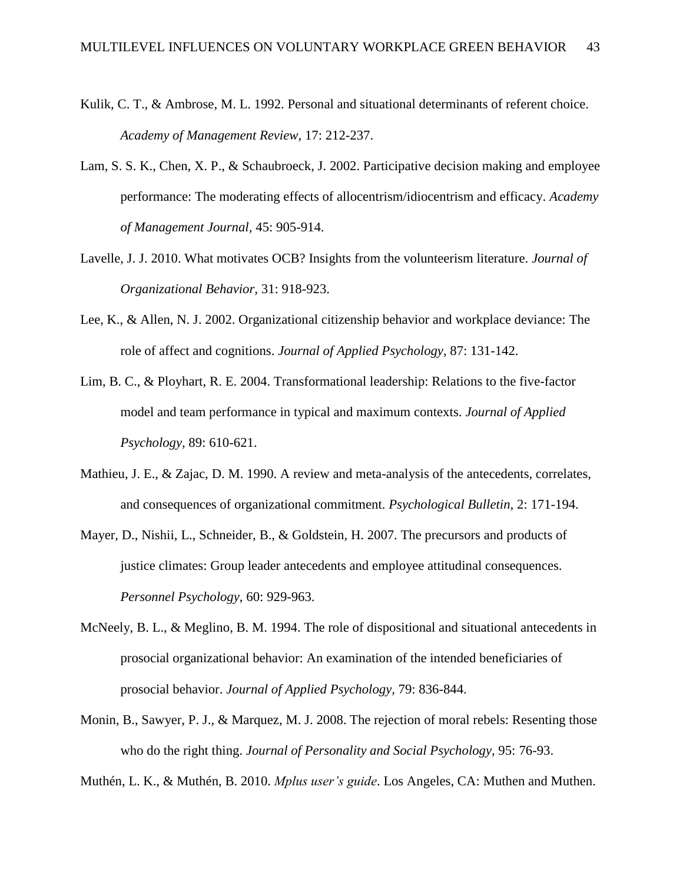- Kulik, C. T., & Ambrose, M. L. 1992. Personal and situational determinants of referent choice. *Academy of Management Review,* 17: 212-237.
- Lam, S. S. K., Chen, X. P., & Schaubroeck, J. 2002. Participative decision making and employee performance: The moderating effects of allocentrism/idiocentrism and efficacy. *Academy of Management Journal,* 45: 905-914.
- Lavelle, J. J. 2010. What motivates OCB? Insights from the volunteerism literature. *Journal of Organizational Behavior,* 31: 918-923.
- Lee, K., & Allen, N. J. 2002. Organizational citizenship behavior and workplace deviance: The role of affect and cognitions. *Journal of Applied Psychology,* 87: 131-142.
- Lim, B. C., & Ployhart, R. E. 2004. Transformational leadership: Relations to the five-factor model and team performance in typical and maximum contexts. *Journal of Applied Psychology,* 89: 610-621.
- Mathieu, J. E., & Zajac, D. M. 1990. A review and meta-analysis of the antecedents, correlates, and consequences of organizational commitment. *Psychological Bulletin,* 2: 171-194.
- Mayer, D., Nishii, L., Schneider, B., & Goldstein, H. 2007. The precursors and products of justice climates: Group leader antecedents and employee attitudinal consequences. *Personnel Psychology*, 60: 929-963.
- McNeely, B. L., & Meglino, B. M. 1994. The role of dispositional and situational antecedents in prosocial organizational behavior: An examination of the intended beneficiaries of prosocial behavior. *Journal of Applied Psychology,* 79: 836-844.
- Monin, B., Sawyer, P. J., & Marquez, M. J. 2008. The rejection of moral rebels: Resenting those who do the right thing. *Journal of Personality and Social Psychology,* 95: 76-93.

Muthén, L. K., & Muthén, B. 2010. *Mplus user's guide*. Los Angeles, CA: Muthen and Muthen.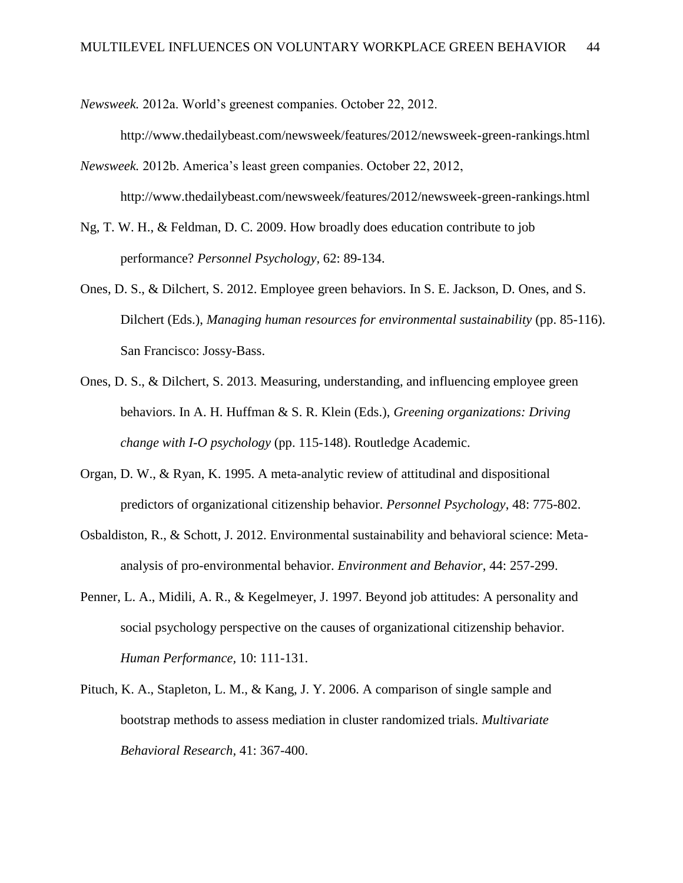*Newsweek.* 2012a. World's greenest companies. October 22, 2012.

http://www.thedailybeast.com/newsweek/features/2012/newsweek-green-rankings.html

*Newsweek.* 2012b. America's least green companies. October 22, 2012, http://www.thedailybeast.com/newsweek/features/2012/newsweek-green-rankings.html

Ng, T. W. H., & Feldman, D. C. 2009. How broadly does education contribute to job performance? *Personnel Psychology,* 62: 89-134.

- Ones, D. S., & Dilchert, S. 2012. Employee green behaviors. In S. E. Jackson, D. Ones, and S. Dilchert (Eds.), *Managing human resources for environmental sustainability* (pp. 85-116). San Francisco: Jossy-Bass.
- Ones, D. S., & Dilchert, S. 2013. Measuring, understanding, and influencing employee green behaviors. In A. H. Huffman & S. R. Klein (Eds.), *Greening organizations: Driving change with I-O psychology* (pp. 115-148). Routledge Academic.
- Organ, D. W., & Ryan, K. 1995. A meta-analytic review of attitudinal and dispositional predictors of organizational citizenship behavior. *Personnel Psychology*, 48: 775-802.
- Osbaldiston, R., & Schott, J. 2012. Environmental sustainability and behavioral science: Metaanalysis of pro-environmental behavior. *Environment and Behavior*, 44: 257-299.
- Penner, L. A., Midili, A. R., & Kegelmeyer, J. 1997. Beyond job attitudes: A personality and social psychology perspective on the causes of organizational citizenship behavior. *Human Performance,* 10: 111-131.
- Pituch, K. A., Stapleton, L. M., & Kang, J. Y. 2006. A comparison of single sample and bootstrap methods to assess mediation in cluster randomized trials. *Multivariate Behavioral Research,* 41: 367-400.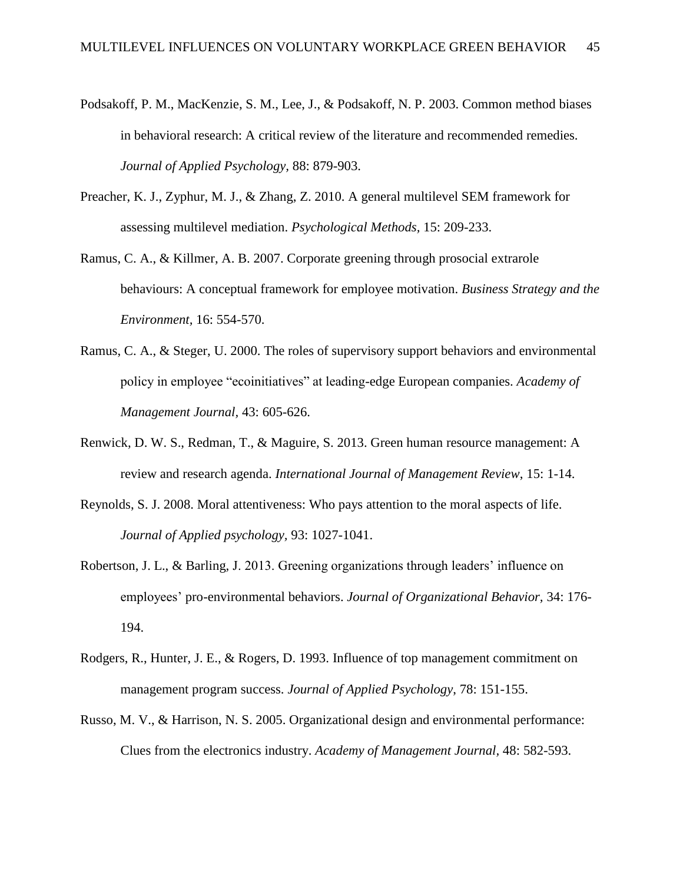- Podsakoff, P. M., MacKenzie, S. M., Lee, J., & Podsakoff, N. P. 2003. Common method biases in behavioral research: A critical review of the literature and recommended remedies. *Journal of Applied Psychology,* 88: 879-903.
- Preacher, K. J., Zyphur, M. J., & Zhang, Z. 2010. A general multilevel SEM framework for assessing multilevel mediation. *Psychological Methods,* 15: 209-233.
- Ramus, C. A., & Killmer, A. B. 2007. Corporate greening through prosocial extrarole behaviours: A conceptual framework for employee motivation. *Business Strategy and the Environment,* 16: 554-570.
- Ramus, C. A., & Steger, U. 2000. The roles of supervisory support behaviors and environmental policy in employee "ecoinitiatives" at leading-edge European companies. *Academy of Management Journal,* 43: 605-626.
- Renwick, D. W. S., Redman, T., & Maguire, S. 2013. Green human resource management: A review and research agenda. *International Journal of Management Review*, 15: 1-14.
- Reynolds, S. J. 2008. Moral attentiveness: Who pays attention to the moral aspects of life. *Journal of Applied psychology,* 93: 1027-1041.
- Robertson, J. L., & Barling, J. 2013. Greening organizations through leaders' influence on employees' pro-environmental behaviors. *Journal of Organizational Behavior,* 34: 176- 194.
- Rodgers, R., Hunter, J. E., & Rogers, D. 1993. Influence of top management commitment on management program success. *Journal of Applied Psychology*, 78: 151-155.
- Russo, M. V., & Harrison, N. S. 2005. Organizational design and environmental performance: Clues from the electronics industry. *Academy of Management Journal,* 48: 582-593.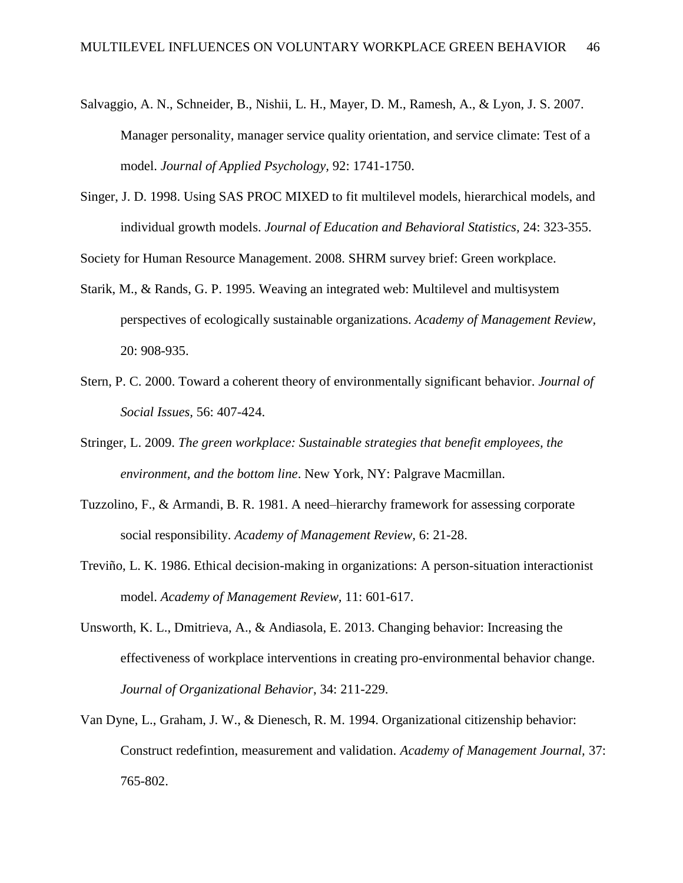- Salvaggio, A. N., Schneider, B., Nishii, L. H., Mayer, D. M., Ramesh, A., & Lyon, J. S. 2007. Manager personality, manager service quality orientation, and service climate: Test of a model. *Journal of Applied Psychology,* 92: 1741-1750.
- Singer, J. D. 1998. Using SAS PROC MIXED to fit multilevel models, hierarchical models, and individual growth models. *Journal of Education and Behavioral Statistics,* 24: 323-355.

Society for Human Resource Management. 2008. SHRM survey brief: Green workplace.

- Starik, M., & Rands, G. P. 1995. Weaving an integrated web: Multilevel and multisystem perspectives of ecologically sustainable organizations. *Academy of Management Review,* 20: 908-935.
- Stern, P. C. 2000. Toward a coherent theory of environmentally significant behavior. *Journal of Social Issues,* 56: 407-424.
- Stringer, L. 2009. *The green workplace: Sustainable strategies that benefit employees, the environment, and the bottom line*. New York, NY: Palgrave Macmillan.
- Tuzzolino, F., & Armandi, B. R. 1981. A need–hierarchy framework for assessing corporate social responsibility. *Academy of Management Review,* 6: 21-28.
- Treviño, L. K. 1986. Ethical decision-making in organizations: A person-situation interactionist model. *Academy of Management Review,* 11: 601-617.
- Unsworth, K. L., Dmitrieva, A., & Andiasola, E. 2013. Changing behavior: Increasing the effectiveness of workplace interventions in creating pro-environmental behavior change. *Journal of Organizational Behavior*, 34: 211-229.
- Van Dyne, L., Graham, J. W., & Dienesch, R. M. 1994. Organizational citizenship behavior: Construct redefintion, measurement and validation. *Academy of Management Journal,* 37: 765-802.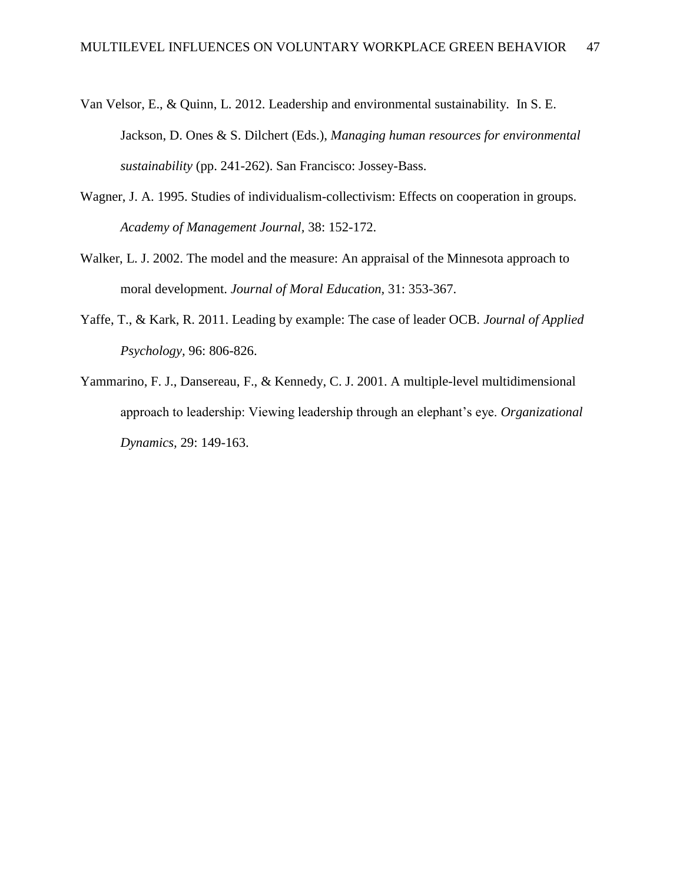- Van Velsor, E., & Quinn, L. 2012. Leadership and environmental sustainability. In S. E. Jackson, D. Ones & S. Dilchert (Eds.), *Managing human resources for environmental sustainability* (pp. 241-262). San Francisco: Jossey-Bass.
- Wagner, J. A. 1995. Studies of individualism-collectivism: Effects on cooperation in groups. *Academy of Management Journal,* 38: 152-172.
- Walker, L. J. 2002. The model and the measure: An appraisal of the Minnesota approach to moral development. *Journal of Moral Education,* 31: 353-367.
- Yaffe, T., & Kark, R. 2011. Leading by example: The case of leader OCB. *Journal of Applied Psychology,* 96: 806-826.
- Yammarino, F. J., Dansereau, F., & Kennedy, C. J. 2001. A multiple-level multidimensional approach to leadership: Viewing leadership through an elephant's eye. *Organizational Dynamics,* 29: 149-163.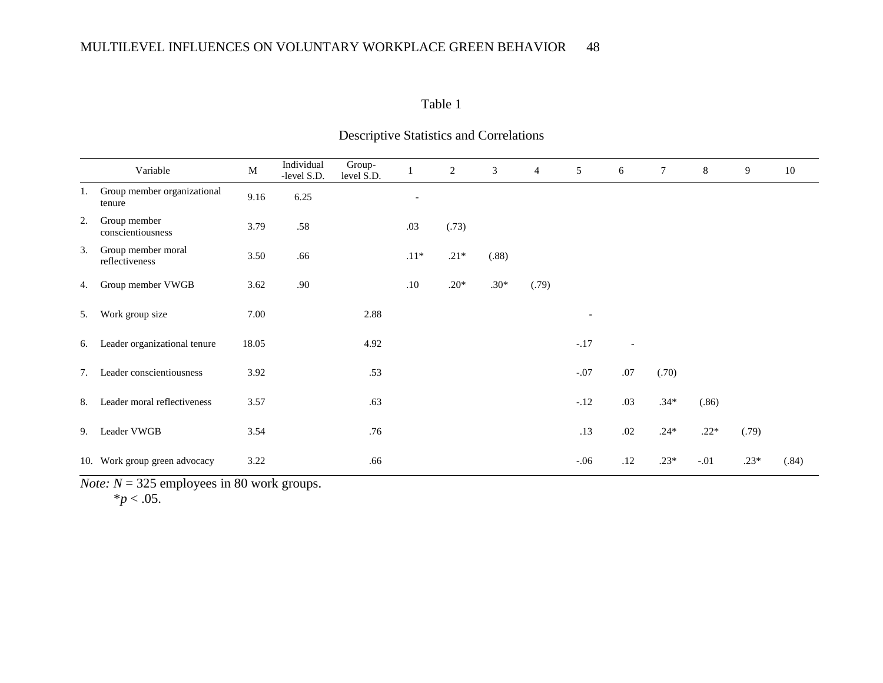### Table 1

|    | Variable                              | $\mathbf M$ | Individual<br>-level S.D. | Group-<br>level S.D. |                          | 2      | 3      | $\overline{4}$ | 5      | 6              | $\tau$ | 8      | 9      | 10    |
|----|---------------------------------------|-------------|---------------------------|----------------------|--------------------------|--------|--------|----------------|--------|----------------|--------|--------|--------|-------|
| 1. | Group member organizational<br>tenure | 9.16        | 6.25                      |                      | $\overline{\phantom{a}}$ |        |        |                |        |                |        |        |        |       |
| 2. | Group member<br>conscientiousness     | 3.79        | .58                       |                      | .03                      | (.73)  |        |                |        |                |        |        |        |       |
| 3. | Group member moral<br>reflectiveness  | 3.50        | .66                       |                      | $.11*$                   | $.21*$ | (.88)  |                |        |                |        |        |        |       |
| 4. | Group member VWGB                     | 3.62        | .90                       |                      | .10                      | $.20*$ | $.30*$ | (.79)          |        |                |        |        |        |       |
| 5. | Work group size                       | 7.00        |                           | 2.88                 |                          |        |        |                |        |                |        |        |        |       |
| 6. | Leader organizational tenure          | 18.05       |                           | 4.92                 |                          |        |        |                | $-.17$ | $\blacksquare$ |        |        |        |       |
| 7. | Leader conscientiousness              | 3.92        |                           | .53                  |                          |        |        |                | $-.07$ | .07            | (.70)  |        |        |       |
| 8. | Leader moral reflectiveness           | 3.57        |                           | .63                  |                          |        |        |                | $-.12$ | .03            | $.34*$ | (.86)  |        |       |
| 9. | Leader VWGB                           | 3.54        |                           | .76                  |                          |        |        |                | .13    | .02            | $.24*$ | $.22*$ | (.79)  |       |
|    | 10. Work group green advocacy         | 3.22        |                           | .66                  |                          |        |        |                | $-.06$ | .12            | $.23*$ | $-.01$ | $.23*$ | (.84) |

# Descriptive Statistics and Correlations

*Note:*  $N = 325$  employees in 80 work groups.

 $*$ *p* < .05.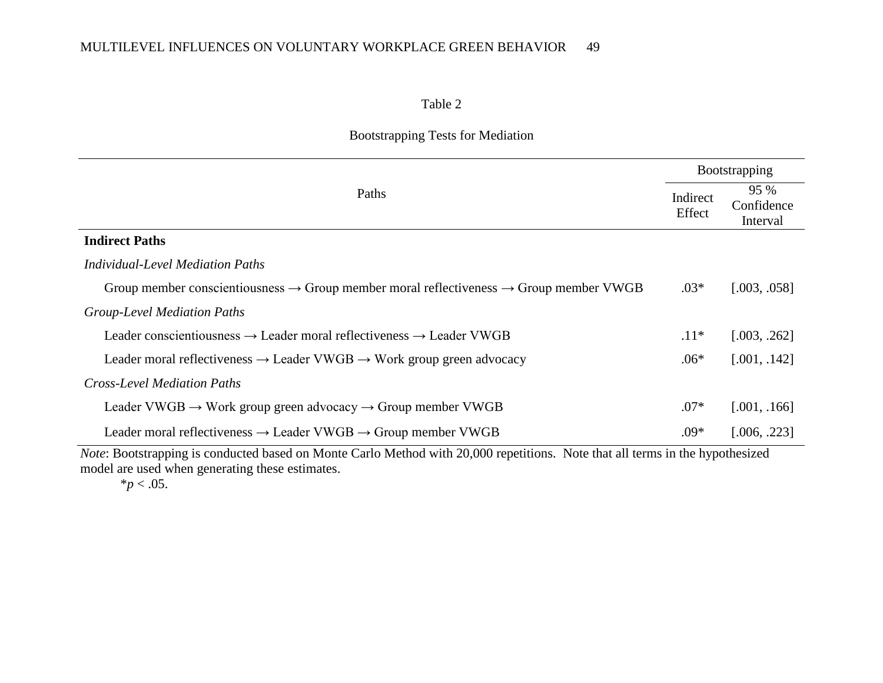### Table 2

### Bootstrapping Tests for Mediation

|                                                                                                                                                                                                                               | <b>Bootstrapping</b> |                                |  |
|-------------------------------------------------------------------------------------------------------------------------------------------------------------------------------------------------------------------------------|----------------------|--------------------------------|--|
| Paths                                                                                                                                                                                                                         |                      | 95 %<br>Confidence<br>Interval |  |
| <b>Indirect Paths</b>                                                                                                                                                                                                         |                      |                                |  |
| <b>Individual-Level Mediation Paths</b>                                                                                                                                                                                       |                      |                                |  |
| Group member conscientiousness $\rightarrow$ Group member moral reflectiveness $\rightarrow$ Group member VWGB                                                                                                                | $.03*$               | [.003, .058]                   |  |
| <b>Group-Level Mediation Paths</b>                                                                                                                                                                                            |                      |                                |  |
| Leader conscientiousness $\rightarrow$ Leader moral reflectiveness $\rightarrow$ Leader VWGB                                                                                                                                  | $.11*$               | [.003, .262]                   |  |
| Leader moral reflectiveness $\rightarrow$ Leader VWGB $\rightarrow$ Work group green advocacy                                                                                                                                 | $.06*$               | [.001, .142]                   |  |
| <b>Cross-Level Mediation Paths</b>                                                                                                                                                                                            |                      |                                |  |
| Leader VWGB $\rightarrow$ Work group green advocacy $\rightarrow$ Group member VWGB                                                                                                                                           | $.07*$               | [.001, .166]                   |  |
| Leader moral reflectiveness $\rightarrow$ Leader VWGB $\rightarrow$ Group member VWGB                                                                                                                                         | $.09*$               | [.006, .223]                   |  |
| $M$ , $D$ , $\mu$ , $J$ , $J$ , $J$ , $J$ , $J$ , $M$ , $C$ , $J$ , $M$ , $J$ , $J$ , $J$ , $J$ , $J$ , $J$ , $J$ , $J$ , $J$ , $J$ , $J$ , $J$ , $J$ , $J$ , $J$ , $J$ , $J$ , $J$ , $J$ , $J$ , $J$ , $J$ , $J$ , $J$ , $J$ |                      |                                |  |

*Note*: Bootstrapping is conducted based on Monte Carlo Method with 20,000 repetitions. Note that all terms in the hypothesized model are used when generating these estimates.

 $*$ *p* < .05.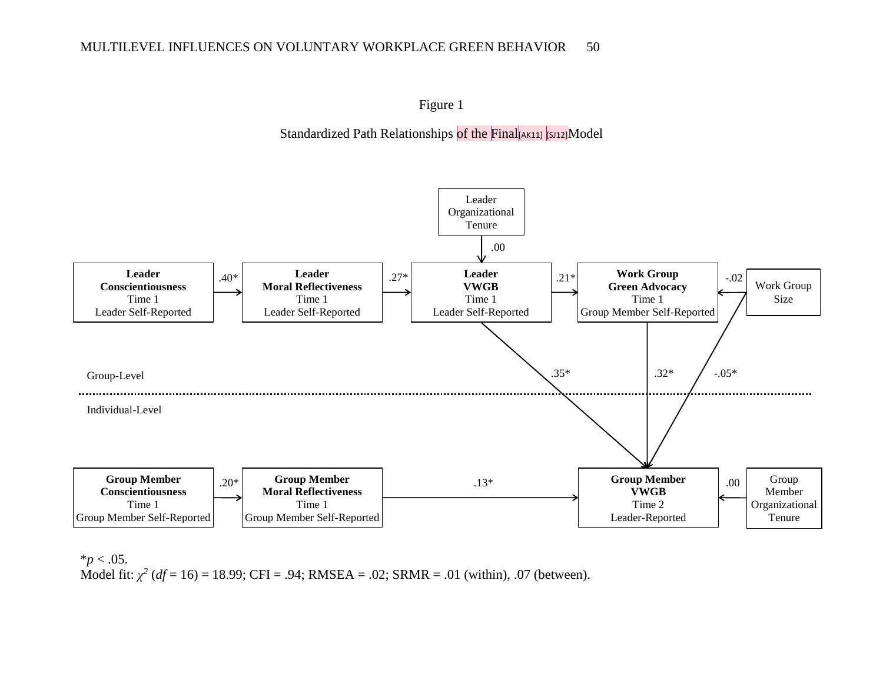

### Standardized Path Relationships of the Final[AK11] [SJ12]Model



 $*$ *p* < .05.

Model fit:  $\chi^2$  (*df* = 16) = 18.99; CFI = .94; RMSEA = .02; SRMR = .01 (within), .07 (between).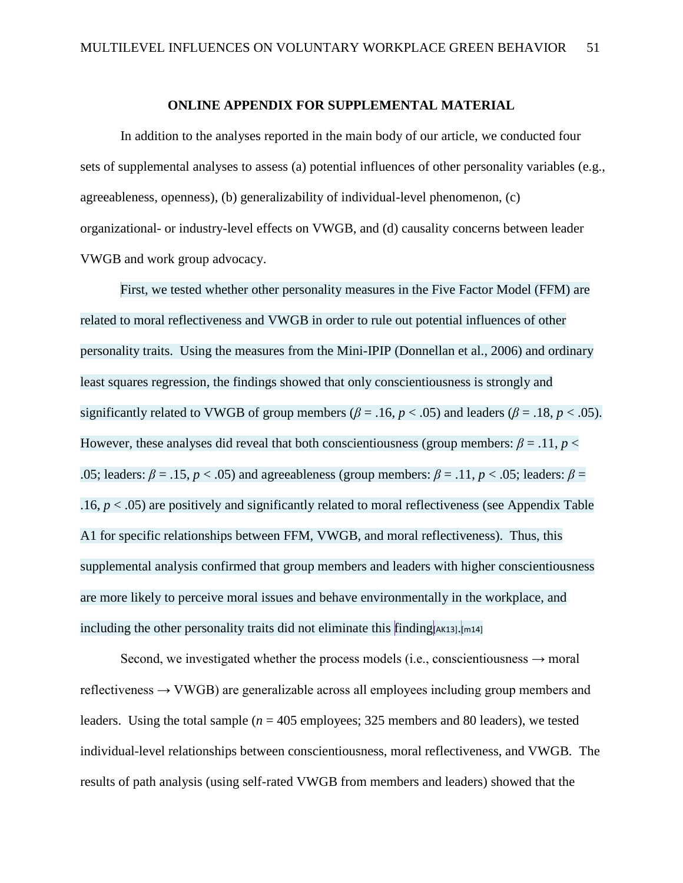#### **ONLINE APPENDIX FOR SUPPLEMENTAL MATERIAL**

In addition to the analyses reported in the main body of our article, we conducted four sets of supplemental analyses to assess (a) potential influences of other personality variables (e.g., agreeableness, openness), (b) generalizability of individual-level phenomenon, (c) organizational- or industry-level effects on VWGB, and (d) causality concerns between leader VWGB and work group advocacy.

First, we tested whether other personality measures in the Five Factor Model (FFM) are related to moral reflectiveness and VWGB in order to rule out potential influences of other personality traits. Using the measures from the Mini-IPIP (Donnellan et al., 2006) and ordinary least squares regression, the findings showed that only conscientiousness is strongly and significantly related to VWGB of group members ( $\beta$  = .16, *p* < .05) and leaders ( $\beta$  = .18, *p* < .05). However, these analyses did reveal that both conscientiousness (group members:  $\beta = .11$ ,  $p <$ .05; leaders:  $\beta = .15$ ,  $p < .05$ ) and agreeableness (group members:  $\beta = .11$ ,  $p < .05$ ; leaders:  $\beta =$ .16,  $p < .05$ ) are positively and significantly related to moral reflectiveness (see Appendix Table A1 for specific relationships between FFM, VWGB, and moral reflectiveness). Thus, this supplemental analysis confirmed that group members and leaders with higher conscientiousness are more likely to perceive moral issues and behave environmentally in the workplace, and including the other personality traits did not eliminate this  $\lim_{\Delta x \to 0}$ [AK13].[m14]

Second, we investigated whether the process models (i.e., conscientiousness  $\rightarrow$  moral reflectiveness  $\rightarrow$  VWGB) are generalizable across all employees including group members and leaders. Using the total sample ( $n = 405$  employees; 325 members and 80 leaders), we tested individual-level relationships between conscientiousness, moral reflectiveness, and VWGB. The results of path analysis (using self-rated VWGB from members and leaders) showed that the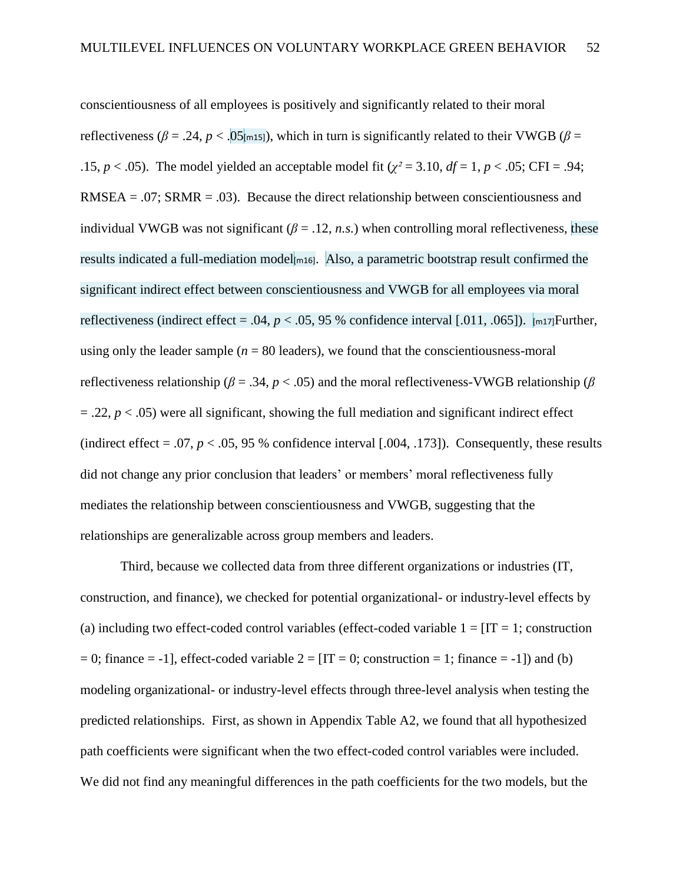conscientiousness of all employees is positively and significantly related to their moral reflectiveness ( $\beta$  = .24, *p* < .05[m15]), which in turn is significantly related to their VWGB ( $\beta$  = .15,  $p < .05$ ). The model yielded an acceptable model fit ( $\gamma^2 = 3.10$ ,  $df = 1$ ,  $p < .05$ ; CFI = .94; RMSEA =  $.07$ ; SRMR =  $.03$ ). Because the direct relationship between conscientiousness and individual VWGB was not significant  $(\beta = .12, n.s.)$  when controlling moral reflectiveness, these results indicated a full-mediation model  $_{m16}$ . Also, a parametric bootstrap result confirmed the significant indirect effect between conscientiousness and VWGB for all employees via moral reflectiveness (indirect effect = .04,  $p < .05$ , 95 % confidence interval [.011, .065]).  $\frac{1}{2}$  m17] Further, using only the leader sample  $(n = 80$  leaders), we found that the conscientiousness-moral reflectiveness relationship ( $\beta = .34$ ,  $p < .05$ ) and the moral reflectiveness-VWGB relationship ( $\beta$  $=$  .22,  $p <$  .05) were all significant, showing the full mediation and significant indirect effect (indirect effect  $= .07$ ,  $p < .05$ , 95 % confidence interval [.004, .173]). Consequently, these results did not change any prior conclusion that leaders' or members' moral reflectiveness fully mediates the relationship between conscientiousness and VWGB, suggesting that the relationships are generalizable across group members and leaders.

Third, because we collected data from three different organizations or industries (IT, construction, and finance), we checked for potential organizational- or industry-level effects by (a) including two effect-coded control variables (effect-coded variable  $1 = [IT = 1]$ ; construction  $= 0$ ; finance  $= -1$ ], effect-coded variable  $2 = [IT = 0$ ; construction  $= 1$ ; finance  $= -1$ ]) and (b) modeling organizational- or industry-level effects through three-level analysis when testing the predicted relationships. First, as shown in Appendix Table A2, we found that all hypothesized path coefficients were significant when the two effect-coded control variables were included. We did not find any meaningful differences in the path coefficients for the two models, but the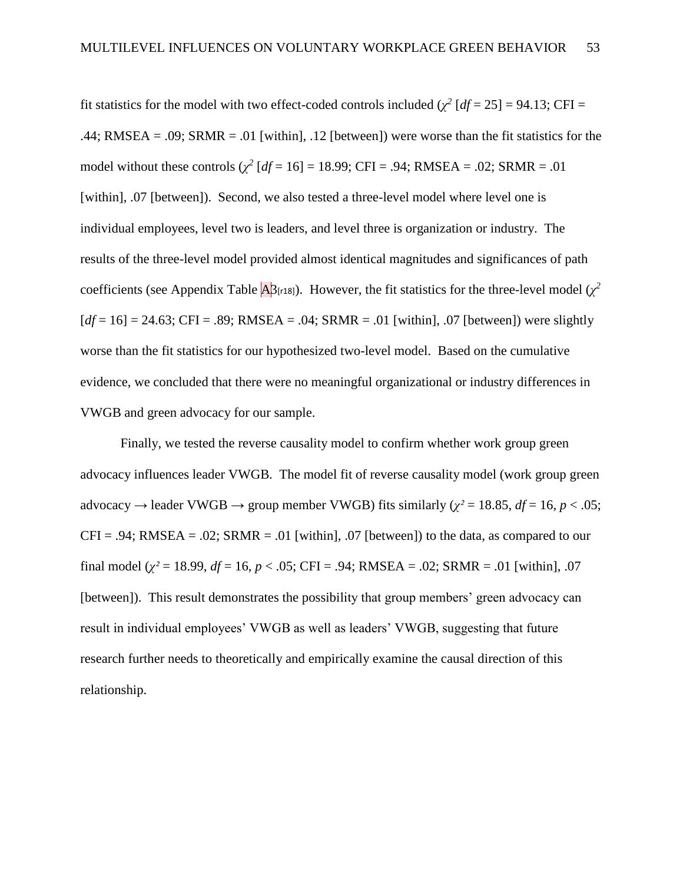fit statistics for the model with two effect-coded controls included  $(\chi^2 \text{ [df = 25]} = 94.13; \text{CFI} =$ .44; RMSEA = .09; SRMR = .01 [within], .12 [between]) were worse than the fit statistics for the model without these controls  $(\chi^2 \, [df = 16] = 18.99; CFI = .94; RMSEA = .02; SRMR = .01$ [within], .07 [between]). Second, we also tested a three-level model where level one is individual employees, level two is leaders, and level three is organization or industry. The results of the three-level model provided almost identical magnitudes and significances of path coefficients (see Appendix Table  $\overline{A}$ 3<sub>[r18]</sub>). However, the fit statistics for the three-level model ( $\chi^2$  $[df = 16] = 24.63$ ; CFI = .89; RMSEA = .04; SRMR = .01 [within], .07 [between]) were slightly worse than the fit statistics for our hypothesized two-level model. Based on the cumulative evidence, we concluded that there were no meaningful organizational or industry differences in VWGB and green advocacy for our sample.

Finally, we tested the reverse causality model to confirm whether work group green advocacy influences leader VWGB. The model fit of reverse causality model (work group green advocacy  $\rightarrow$  leader VWGB  $\rightarrow$  group member VWGB) fits similarly ( $\chi^2$  = 18.85, *df* = 16, *p* < .05;  $CFI = .94$ ; RMSEA = .02; SRMR = .01 [within], .07 [between]) to the data, as compared to our final model ( $\chi^2$  = 18.99,  $df$  = 16,  $p$  < .05; CFI = .94; RMSEA = .02; SRMR = .01 [within], .07 [between]). This result demonstrates the possibility that group members' green advocacy can result in individual employees' VWGB as well as leaders' VWGB, suggesting that future research further needs to theoretically and empirically examine the causal direction of this relationship.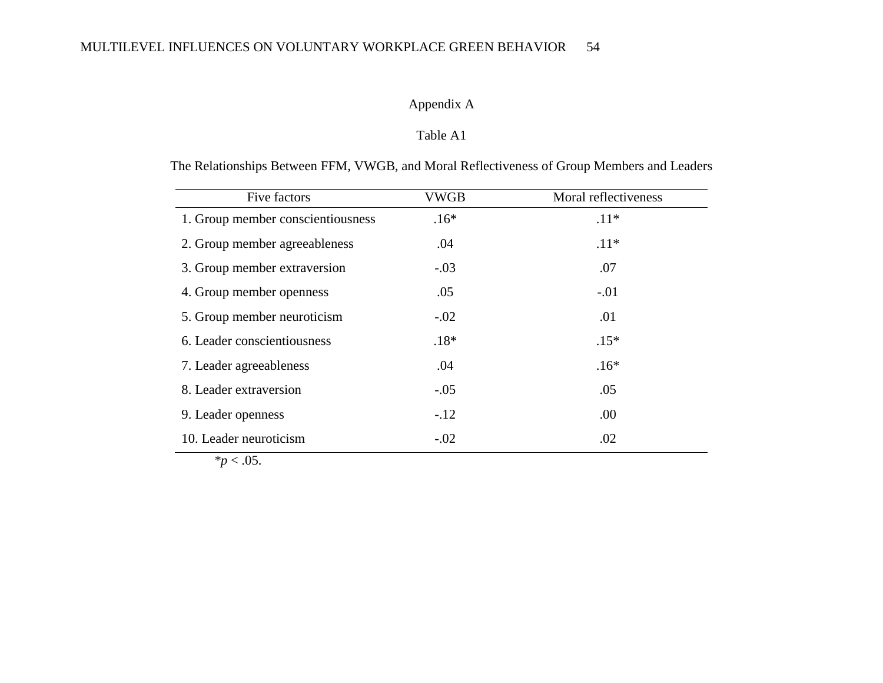### Appendix A

### Table A1

The Relationships Between FFM, VWGB, and Moral Reflectiveness of Group Members and Leaders

| Five factors                      | <b>VWGB</b> | Moral reflectiveness |
|-----------------------------------|-------------|----------------------|
| 1. Group member conscientiousness | $.16*$      | $.11*$               |
| 2. Group member agreeableness     | .04         | $.11*$               |
| 3. Group member extraversion      | $-.03$      | .07                  |
| 4. Group member openness          | .05         | $-.01$               |
| 5. Group member neuroticism       | $-.02$      | .01                  |
| 6. Leader conscientiousness       | $.18*$      | $.15*$               |
| 7. Leader agreeableness           | .04         | $.16*$               |
| 8. Leader extraversion            | $-.05$      | .05                  |
| 9. Leader openness                | $-.12$      | .00                  |
| 10. Leader neuroticism            | $-.02$      | .02                  |

 $p < .05$ .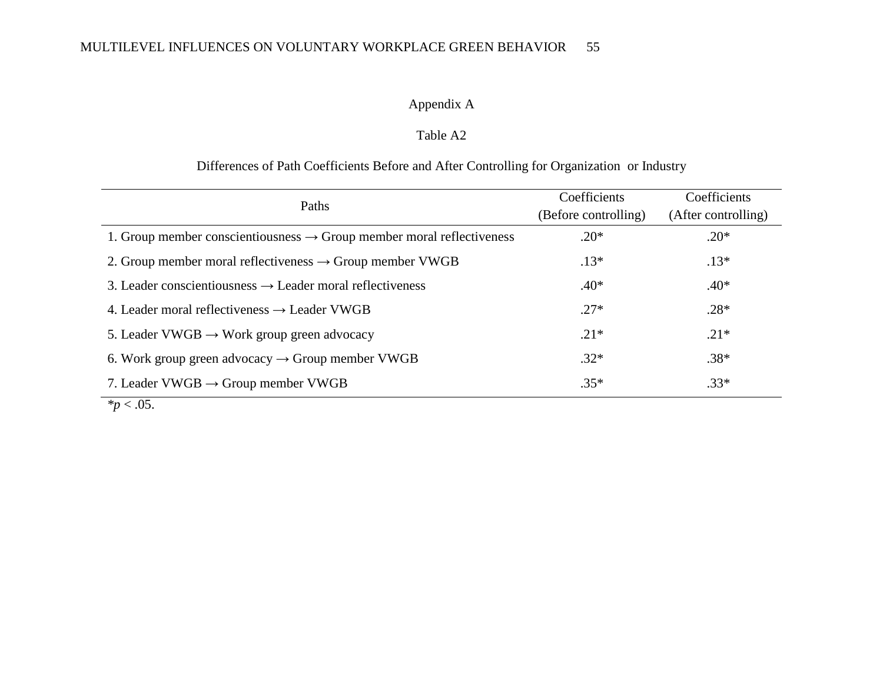### Appendix A

### Table A2

### Differences of Path Coefficients Before and After Controlling for Organization or Industry

| Paths                                                                             | Coefficients         | Coefficients        |  |
|-----------------------------------------------------------------------------------|----------------------|---------------------|--|
|                                                                                   | (Before controlling) | (After controlling) |  |
| 1. Group member conscientiousness $\rightarrow$ Group member moral reflectiveness | $.20*$               | $.20*$              |  |
| 2. Group member moral reflectiveness $\rightarrow$ Group member VWGB              | $.13*$               | $.13*$              |  |
| 3. Leader conscientiousness $\rightarrow$ Leader moral reflectiveness             | $.40*$               | $.40*$              |  |
| 4. Leader moral reflectiveness $\rightarrow$ Leader VWGB                          | $.27*$               | $.28*$              |  |
| 5. Leader VWGB $\rightarrow$ Work group green advocacy                            | $.21*$               | $.21*$              |  |
| 6. Work group green advocacy $\rightarrow$ Group member VWGB                      | $.32*$               | $.38*$              |  |
| 7. Leader VWGB $\rightarrow$ Group member VWGB                                    | $.35*$               | $.33*$              |  |

 $*_{p}$  < .05.